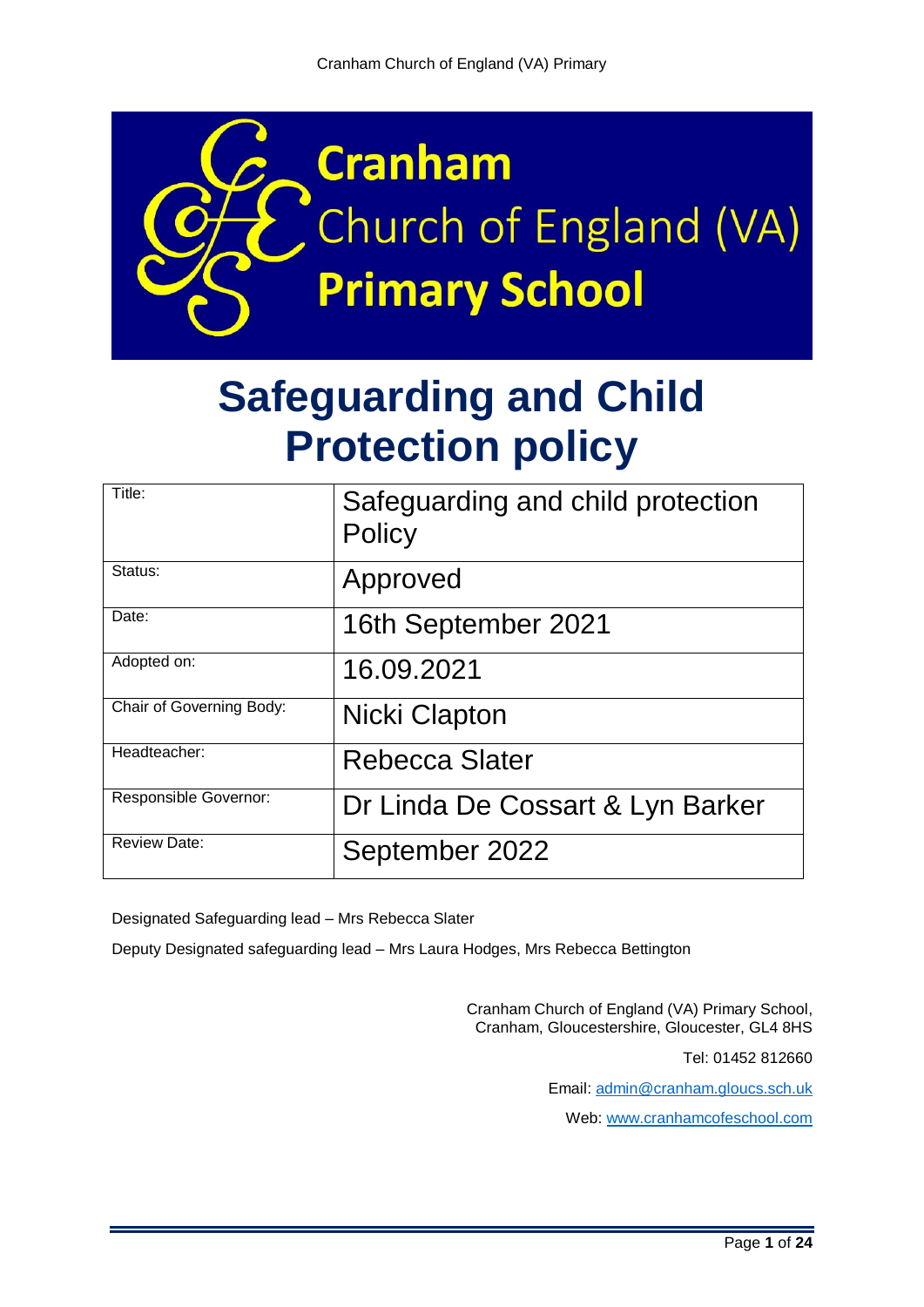

# **Safeguarding and Child Protection policy**

| Title:                   | Safeguarding and child protection<br><b>Policy</b> |
|--------------------------|----------------------------------------------------|
| Status:                  | Approved                                           |
| Date:                    | 16th September 2021                                |
| Adopted on:              | 16.09.2021                                         |
| Chair of Governing Body: | Nicki Clapton                                      |
| Headteacher:             | <b>Rebecca Slater</b>                              |
| Responsible Governor:    | Dr Linda De Cossart & Lyn Barker                   |
| <b>Review Date:</b>      | September 2022                                     |

Designated Safeguarding lead – Mrs Rebecca Slater

Deputy Designated safeguarding lead – Mrs Laura Hodges, Mrs Rebecca Bettington

Cranham Church of England (VA) Primary School, Cranham, Gloucestershire, Gloucester, GL4 8HS

Tel: 01452 812660

Email[: admin@cranham.gloucs.sch.uk](mailto:admin@cranham.gloucs.sch.uk)

Web[: www.cranhamcofeschool.com](http://www.cranhamcofeschool.com/)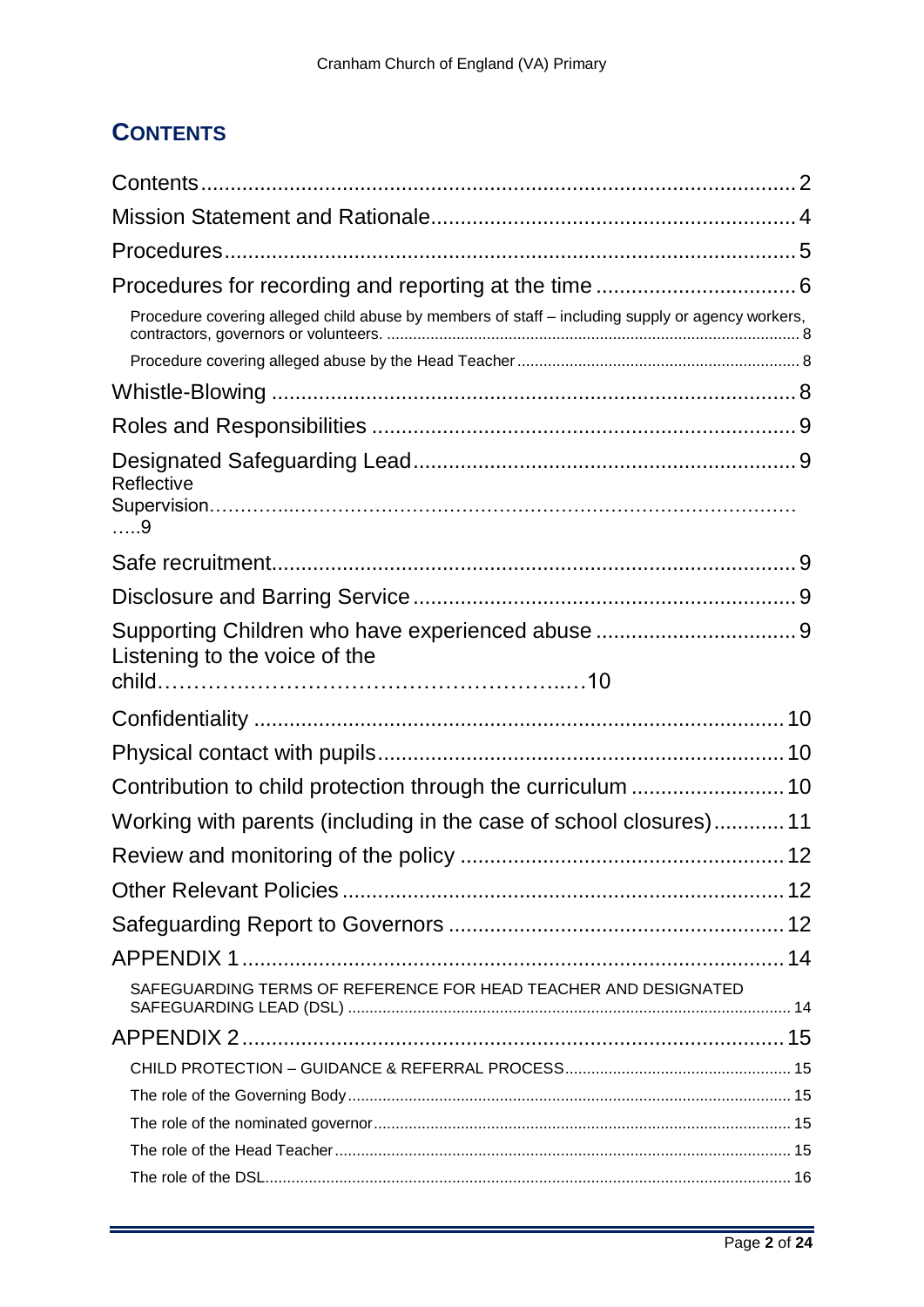# <span id="page-1-0"></span>**CONTENTS**

| Procedure covering alleged child abuse by members of staff - including supply or agency workers, |  |
|--------------------------------------------------------------------------------------------------|--|
|                                                                                                  |  |
|                                                                                                  |  |
|                                                                                                  |  |
| Reflective<br>. 9                                                                                |  |
|                                                                                                  |  |
|                                                                                                  |  |
| Listening to the voice of the                                                                    |  |
|                                                                                                  |  |
|                                                                                                  |  |
| Contribution to child protection through the curriculum  10                                      |  |
| Working with parents (including in the case of school closures) 11                               |  |
|                                                                                                  |  |
|                                                                                                  |  |
|                                                                                                  |  |
|                                                                                                  |  |
| SAFEGUARDING TERMS OF REFERENCE FOR HEAD TEACHER AND DESIGNATED                                  |  |
|                                                                                                  |  |
|                                                                                                  |  |
|                                                                                                  |  |
|                                                                                                  |  |
|                                                                                                  |  |
|                                                                                                  |  |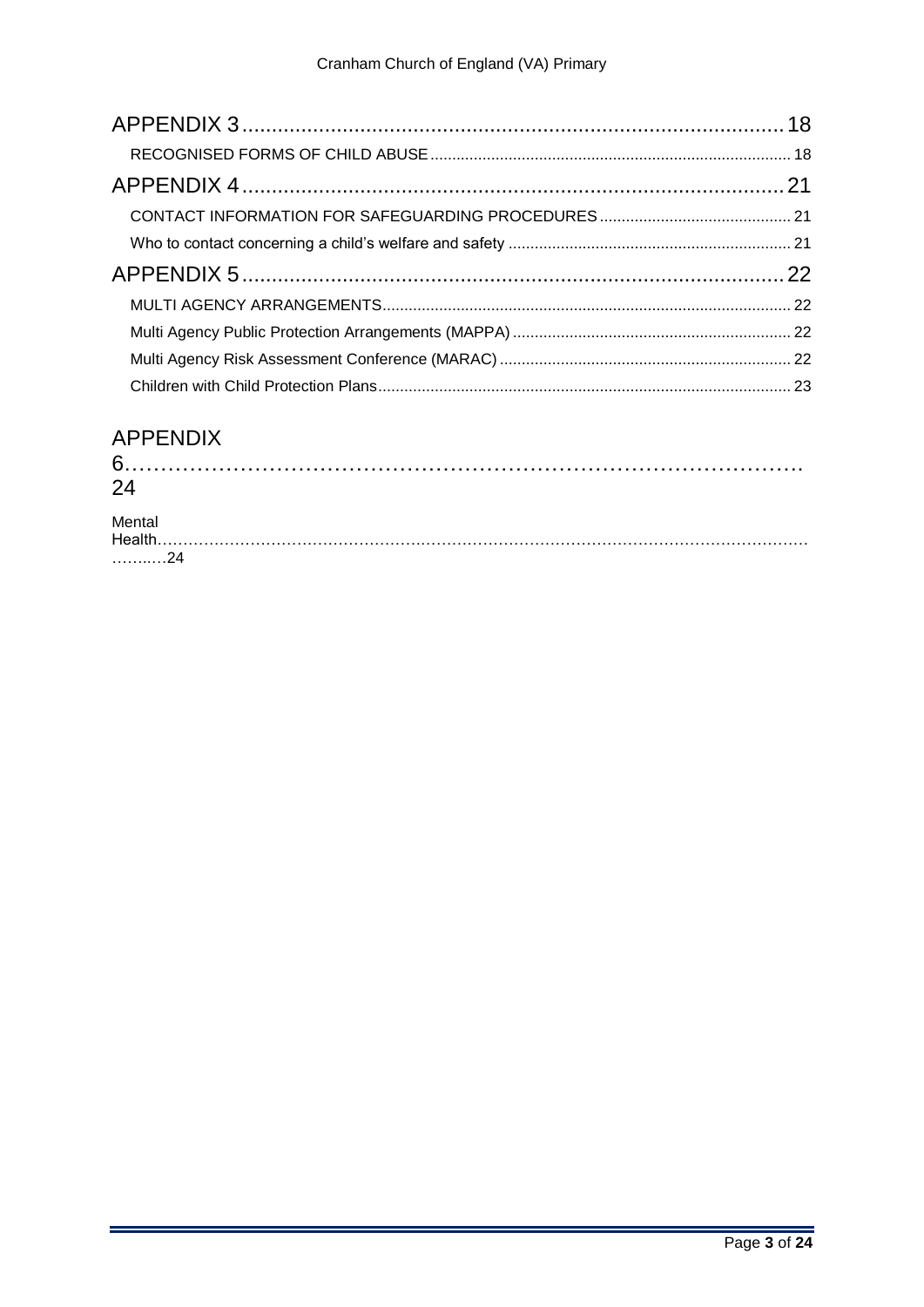<span id="page-2-0"></span>

| 24     |  |  |
|--------|--|--|
| Mental |  |  |
| Health |  |  |
| . 47   |  |  |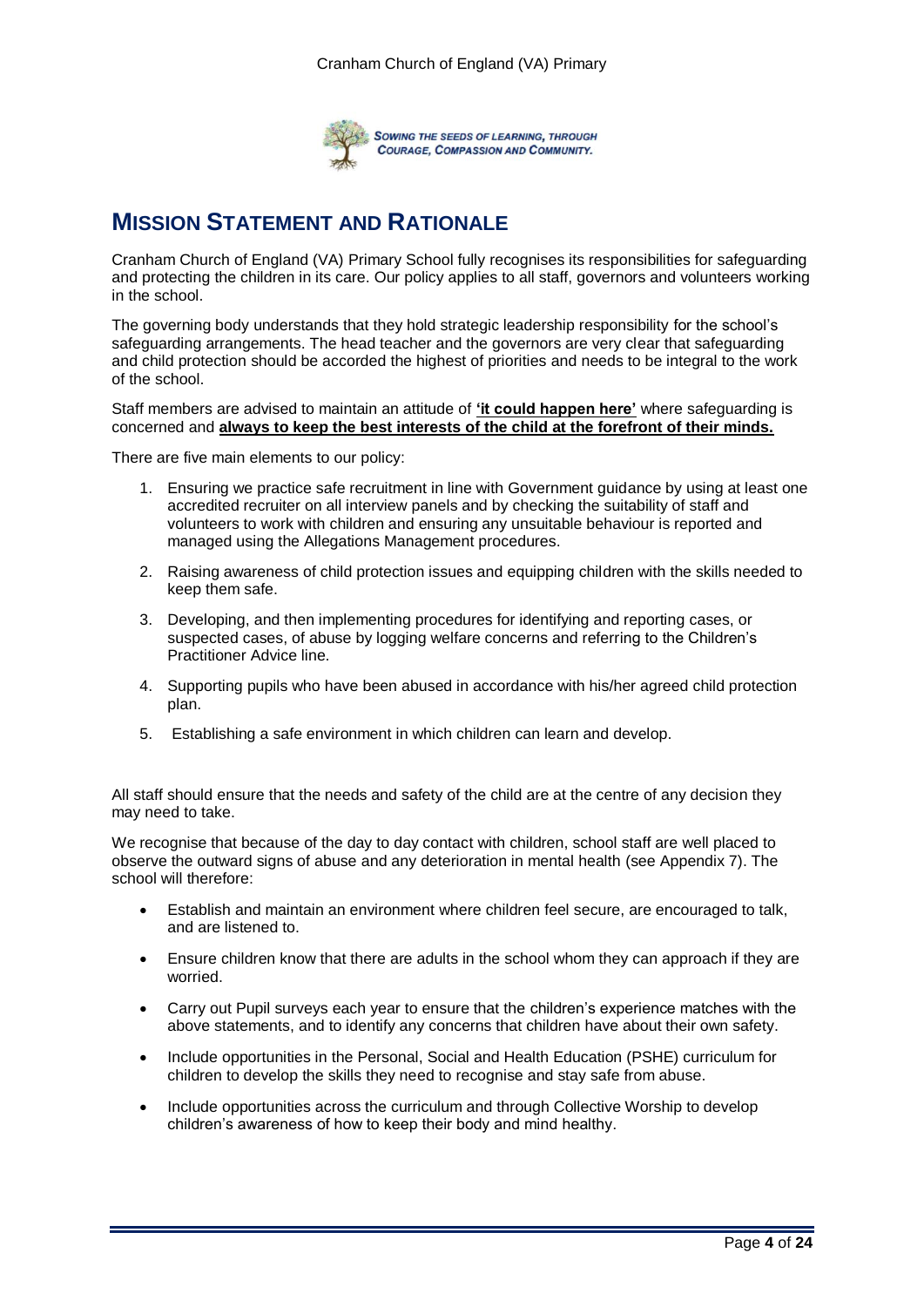

# **MISSION STATEMENT AND RATIONALE**

Cranham Church of England (VA) Primary School fully recognises its responsibilities for safeguarding and protecting the children in its care. Our policy applies to all staff, governors and volunteers working in the school.

The governing body understands that they hold strategic leadership responsibility for the school's safeguarding arrangements. The head teacher and the governors are very clear that safeguarding and child protection should be accorded the highest of priorities and needs to be integral to the work of the school.

Staff members are advised to maintain an attitude of **'it could happen here'** where safeguarding is concerned and **always to keep the best interests of the child at the forefront of their minds.**

There are five main elements to our policy:

- 1. Ensuring we practice safe recruitment in line with Government guidance by using at least one accredited recruiter on all interview panels and by checking the suitability of staff and volunteers to work with children and ensuring any unsuitable behaviour is reported and managed using the Allegations Management procedures.
- 2. Raising awareness of child protection issues and equipping children with the skills needed to keep them safe.
- 3. Developing, and then implementing procedures for identifying and reporting cases, or suspected cases, of abuse by logging welfare concerns and referring to the Children's Practitioner Advice line.
- 4. Supporting pupils who have been abused in accordance with his/her agreed child protection plan.
- 5. Establishing a safe environment in which children can learn and develop.

All staff should ensure that the needs and safety of the child are at the centre of any decision they may need to take.

We recognise that because of the day to day contact with children, school staff are well placed to observe the outward signs of abuse and any deterioration in mental health (see Appendix 7). The school will therefore:

- Establish and maintain an environment where children feel secure, are encouraged to talk, and are listened to.
- Ensure children know that there are adults in the school whom they can approach if they are worried.
- Carry out Pupil surveys each year to ensure that the children's experience matches with the above statements, and to identify any concerns that children have about their own safety.
- Include opportunities in the Personal, Social and Health Education (PSHE) curriculum for children to develop the skills they need to recognise and stay safe from abuse.
- Include opportunities across the curriculum and through Collective Worship to develop children's awareness of how to keep their body and mind healthy.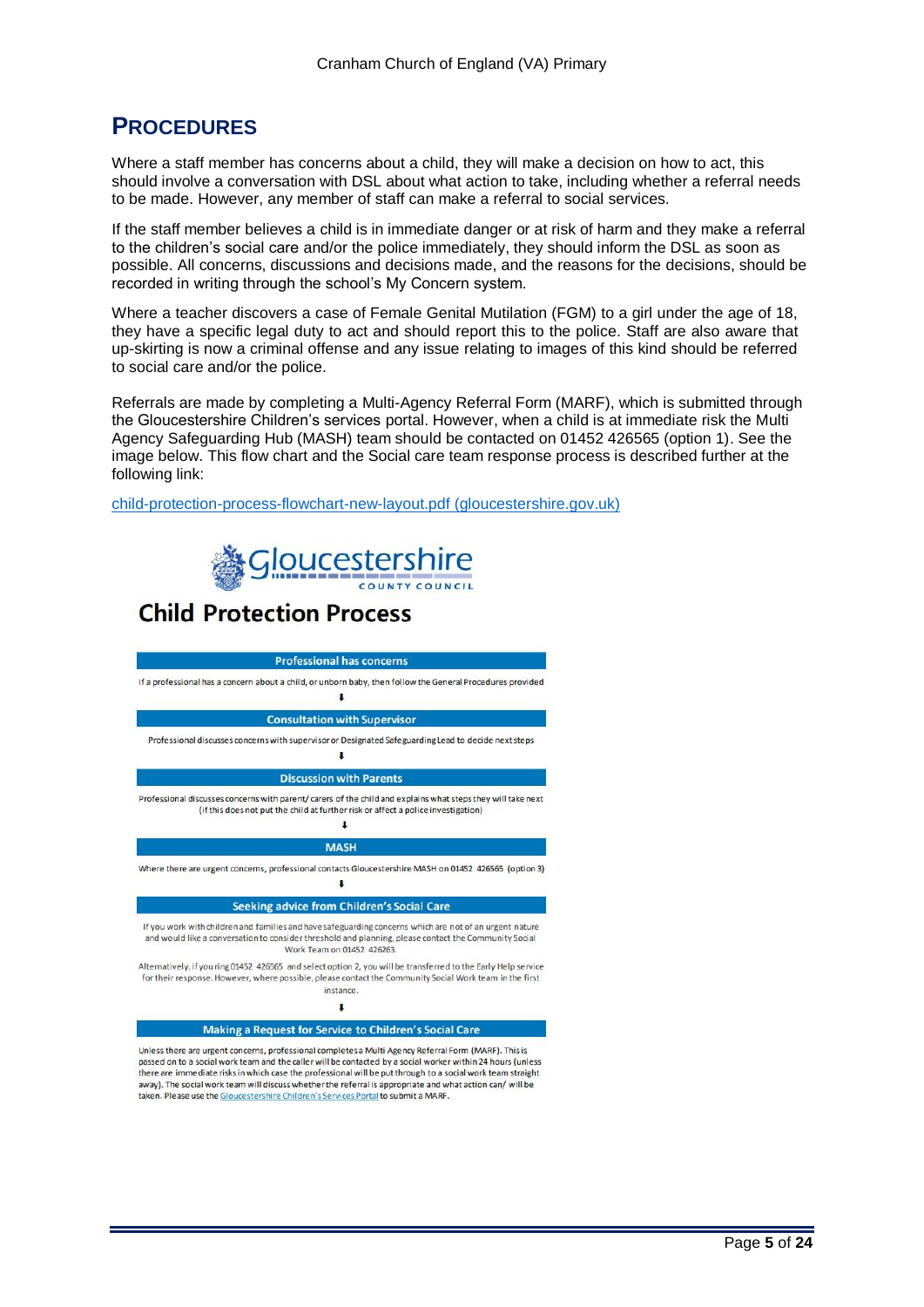# <span id="page-4-0"></span>**PROCEDURES**

Where a staff member has concerns about a child, they will make a decision on how to act, this should involve a conversation with DSL about what action to take, including whether a referral needs to be made. However, any member of staff can make a referral to social services.

If the staff member believes a child is in immediate danger or at risk of harm and they make a referral to the children's social care and/or the police immediately, they should inform the DSL as soon as possible. All concerns, discussions and decisions made, and the reasons for the decisions, should be recorded in writing through the school's My Concern system.

Where a teacher discovers a case of Female Genital Mutilation (FGM) to a girl under the age of 18, they have a specific legal duty to act and should report this to the police. Staff are also aware that up-skirting is now a criminal offense and any issue relating to images of this kind should be referred to social care and/or the police.

Referrals are made by completing a Multi-Agency Referral Form (MARF), which is submitted through the Gloucestershire Children's services portal. However, when a child is at immediate risk the Multi Agency Safeguarding Hub (MASH) team should be contacted on 01452 426565 (option 1). See the image below. This flow chart and the Social care team response process is described further at the following link:

[child-protection-process-flowchart-new-layout.pdf \(gloucestershire.gov.uk\)](https://www.gloucestershire.gov.uk/media/2106284/child-protection-process-flowchart-new-layout.pdf)



# **Child Protection Process**

| <b>Professional has concerns</b>                                                                                                                                                                                                               |  |
|------------------------------------------------------------------------------------------------------------------------------------------------------------------------------------------------------------------------------------------------|--|
| If a professional has a concern about a child, or unborn baby, then follow the General Procedures provided<br>ı                                                                                                                                |  |
| <b>Consultation with Supervisor</b>                                                                                                                                                                                                            |  |
| Professional discusses concerns with supervisor or Designated Safeguarding Lead to decide next steps<br>ı                                                                                                                                      |  |
| <b>Discussion with Parents</b>                                                                                                                                                                                                                 |  |
| Professional discusses concerns with parent/ carers of the child and explains what steps they will take next<br>(if this does not put the child at further risk or affect a police investigation)                                              |  |
| <b>MASH</b>                                                                                                                                                                                                                                    |  |
| Where there are urgent concerns, professional contacts Gloucestershire MASH on 01452 426565 (option 3)                                                                                                                                         |  |
| Seeking advice from Children's Social Care                                                                                                                                                                                                     |  |
| If you work with children and families and have safeguarding concerns which are not of an urgent nature<br>and would like a conversation to consider threshold and planning, please contact the Community Social<br>Work Team on 01452 426263. |  |
| Alternatively, if you ring 01452 426565 and select option 2, you will be transferred to the Early Help service<br>for their response. However, where possible, please contact the Community Social Work team in the first<br>instance.         |  |
|                                                                                                                                                                                                                                                |  |

#### Making a Request for Service to Children's Social Care

Unless there are urgent concerns, professional completes a Multi Agency Referral Form (MARF). This is passed on to a social work team and the caller will be contacted by a social worker within 24 hours (unless there are immediate risks in which case the professional will be put through to a social work team straight away). The social work team will discuss whether the referral is appropriate and what action can/ will be taken. Please use the Gloucestershire Children's Services Portal to submit a MARF.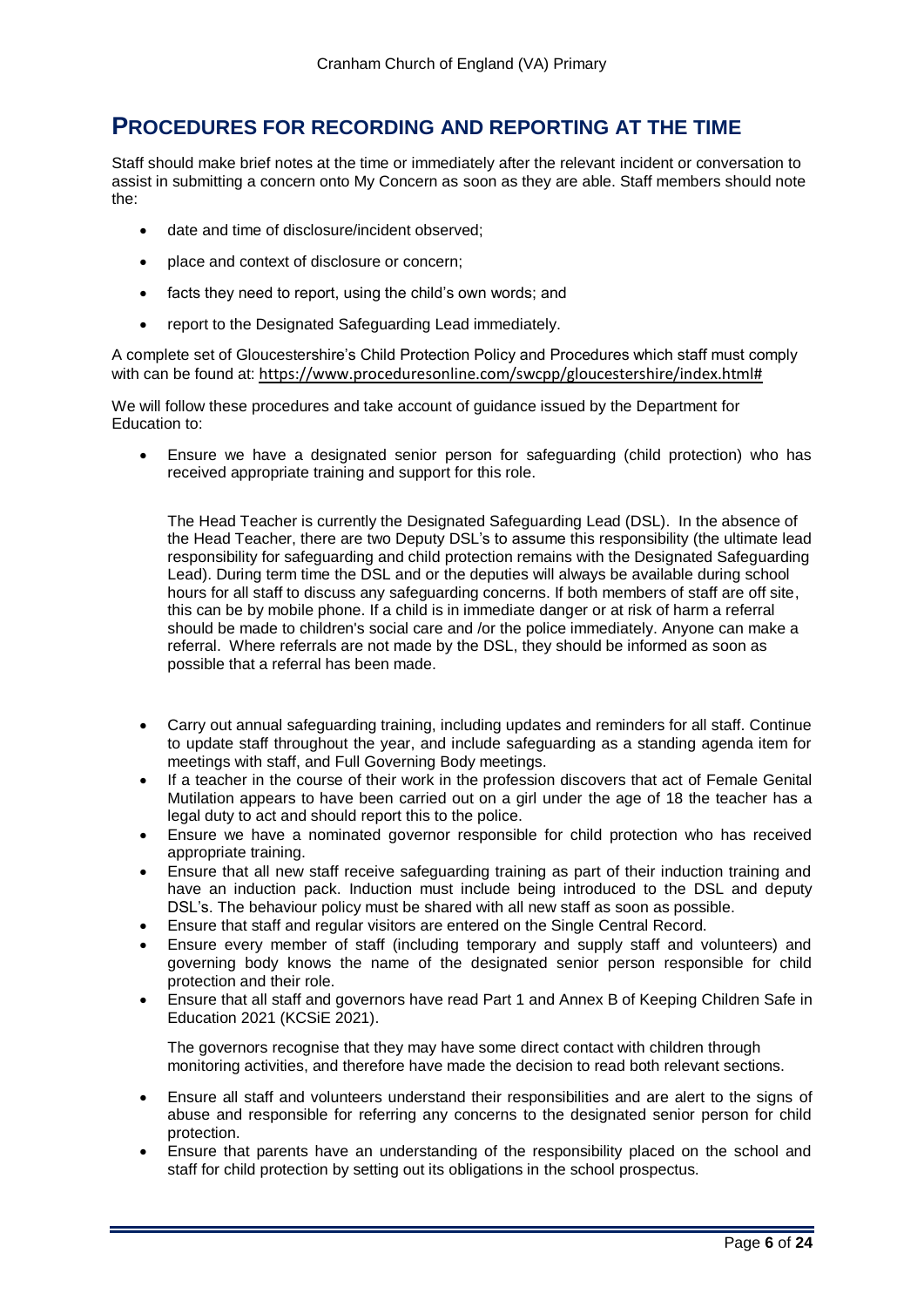### <span id="page-5-0"></span>**PROCEDURES FOR RECORDING AND REPORTING AT THE TIME**

Staff should make brief notes at the time or immediately after the relevant incident or conversation to assist in submitting a concern onto My Concern as soon as they are able. Staff members should note the:

- date and time of disclosure/incident observed;
- place and context of disclosure or concern;
- facts they need to report, using the child's own words; and
- report to the Designated Safeguarding Lead immediately.

A complete set of Gloucestershire's Child Protection Policy and Procedures which staff must comply with can be found at: [https://www.proceduresonline.com/swcpp/gloucestershire/index.html#](https://www.proceduresonline.com/swcpp/gloucestershire/index.html)

We will follow these procedures and take account of guidance issued by the Department for Education to:

 Ensure we have a designated senior person for safeguarding (child protection) who has received appropriate training and support for this role.

The Head Teacher is currently the Designated Safeguarding Lead (DSL). In the absence of the Head Teacher, there are two Deputy DSL's to assume this responsibility (the ultimate lead responsibility for safeguarding and child protection remains with the Designated Safeguarding Lead). During term time the DSL and or the deputies will always be available during school hours for all staff to discuss any safeguarding concerns. If both members of staff are off site, this can be by mobile phone. If a child is in immediate danger or at risk of harm a referral should be made to children's social care and /or the police immediately. Anyone can make a referral. Where referrals are not made by the DSL, they should be informed as soon as possible that a referral has been made.

- Carry out annual safeguarding training, including updates and reminders for all staff. Continue to update staff throughout the year, and include safeguarding as a standing agenda item for meetings with staff, and Full Governing Body meetings.
- If a teacher in the course of their work in the profession discovers that act of Female Genital Mutilation appears to have been carried out on a girl under the age of 18 the teacher has a legal duty to act and should report this to the police.
- Ensure we have a nominated governor responsible for child protection who has received appropriate training.
- Ensure that all new staff receive safeguarding training as part of their induction training and have an induction pack. Induction must include being introduced to the DSL and deputy DSL's. The behaviour policy must be shared with all new staff as soon as possible.
- Ensure that staff and regular visitors are entered on the Single Central Record.
- Ensure every member of staff (including temporary and supply staff and volunteers) and governing body knows the name of the designated senior person responsible for child protection and their role.
- Ensure that all staff and governors have read Part 1 and Annex B of Keeping Children Safe in Education 2021 (KCSiE 2021).

The governors recognise that they may have some direct contact with children through monitoring activities, and therefore have made the decision to read both relevant sections.

- Ensure all staff and volunteers understand their responsibilities and are alert to the signs of abuse and responsible for referring any concerns to the designated senior person for child protection.
- Ensure that parents have an understanding of the responsibility placed on the school and staff for child protection by setting out its obligations in the school prospectus.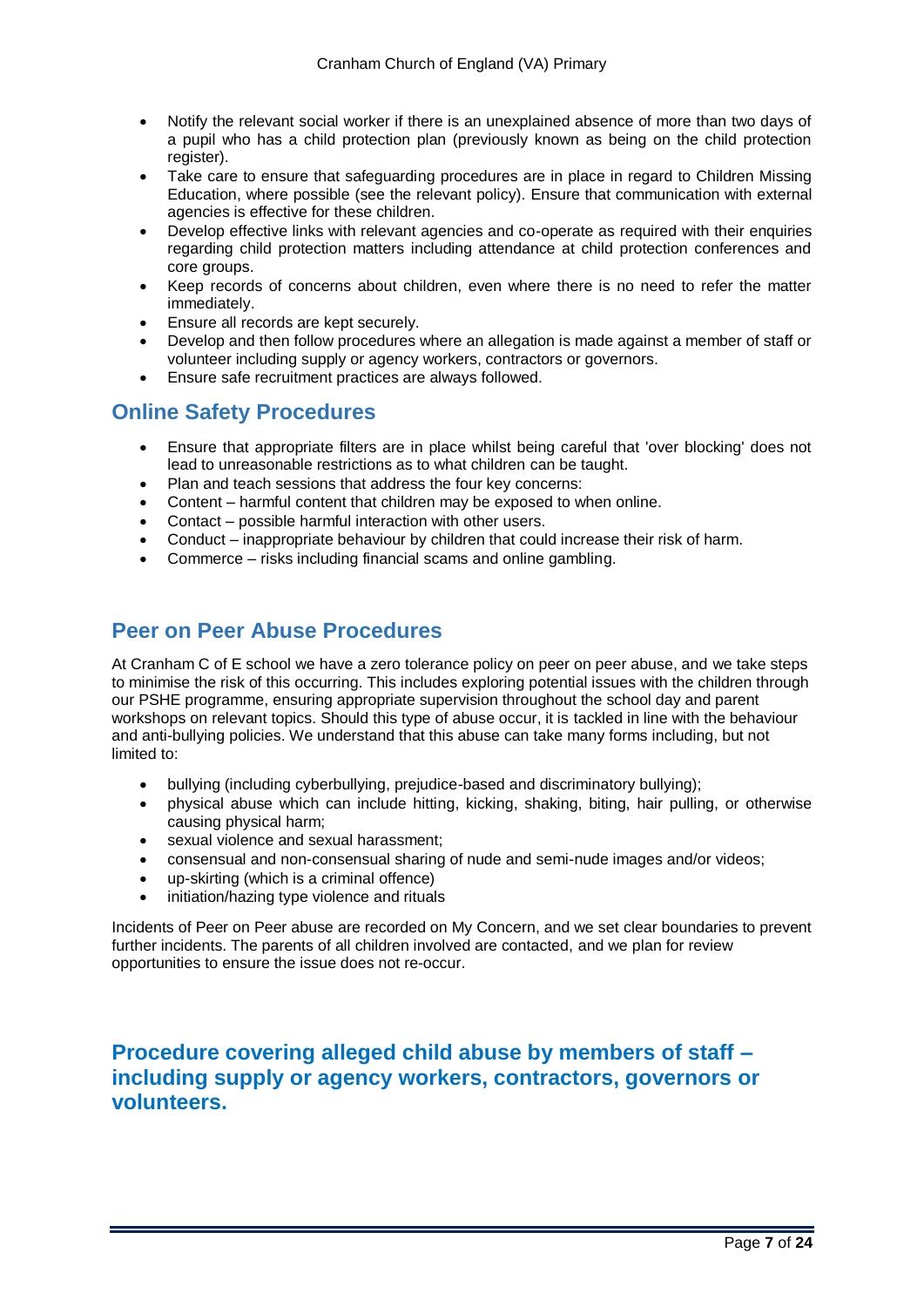- Notify the relevant social worker if there is an unexplained absence of more than two days of a pupil who has a child protection plan (previously known as being on the child protection register).
- Take care to ensure that safeguarding procedures are in place in regard to Children Missing Education, where possible (see the relevant policy). Ensure that communication with external agencies is effective for these children.
- Develop effective links with relevant agencies and co-operate as required with their enquiries regarding child protection matters including attendance at child protection conferences and core groups.
- Keep records of concerns about children, even where there is no need to refer the matter immediately.
- Ensure all records are kept securely.
- Develop and then follow procedures where an allegation is made against a member of staff or volunteer including supply or agency workers, contractors or governors.
- Ensure safe recruitment practices are always followed.

# **Online Safety Procedures**

- Ensure that appropriate filters are in place whilst being careful that 'over blocking' does not lead to unreasonable restrictions as to what children can be taught.
- Plan and teach sessions that address the four key concerns:
- Content harmful content that children may be exposed to when online.
- Contact possible harmful interaction with other users.
- Conduct inappropriate behaviour by children that could increase their risk of harm.
- Commerce risks including financial scams and online gambling.

# <span id="page-6-0"></span>**Peer on Peer Abuse Procedures**

At Cranham C of E school we have a zero tolerance policy on peer on peer abuse, and we take steps to minimise the risk of this occurring. This includes exploring potential issues with the children through our PSHE programme, ensuring appropriate supervision throughout the school day and parent workshops on relevant topics. Should this type of abuse occur, it is tackled in line with the behaviour and anti-bullying policies. We understand that this abuse can take many forms including, but not limited to:

- bullying (including cyberbullying, prejudice-based and discriminatory bullying);
- physical abuse which can include hitting, kicking, shaking, biting, hair pulling, or otherwise causing physical harm;
- sexual violence and sexual harassment;
- consensual and non-consensual sharing of nude and semi-nude images and/or videos;
- up-skirting (which is a criminal offence)
- initiation/hazing type violence and rituals

Incidents of Peer on Peer abuse are recorded on My Concern, and we set clear boundaries to prevent further incidents. The parents of all children involved are contacted, and we plan for review opportunities to ensure the issue does not re-occur.

# **Procedure covering alleged child abuse by members of staff – including supply or agency workers, contractors, governors or volunteers.**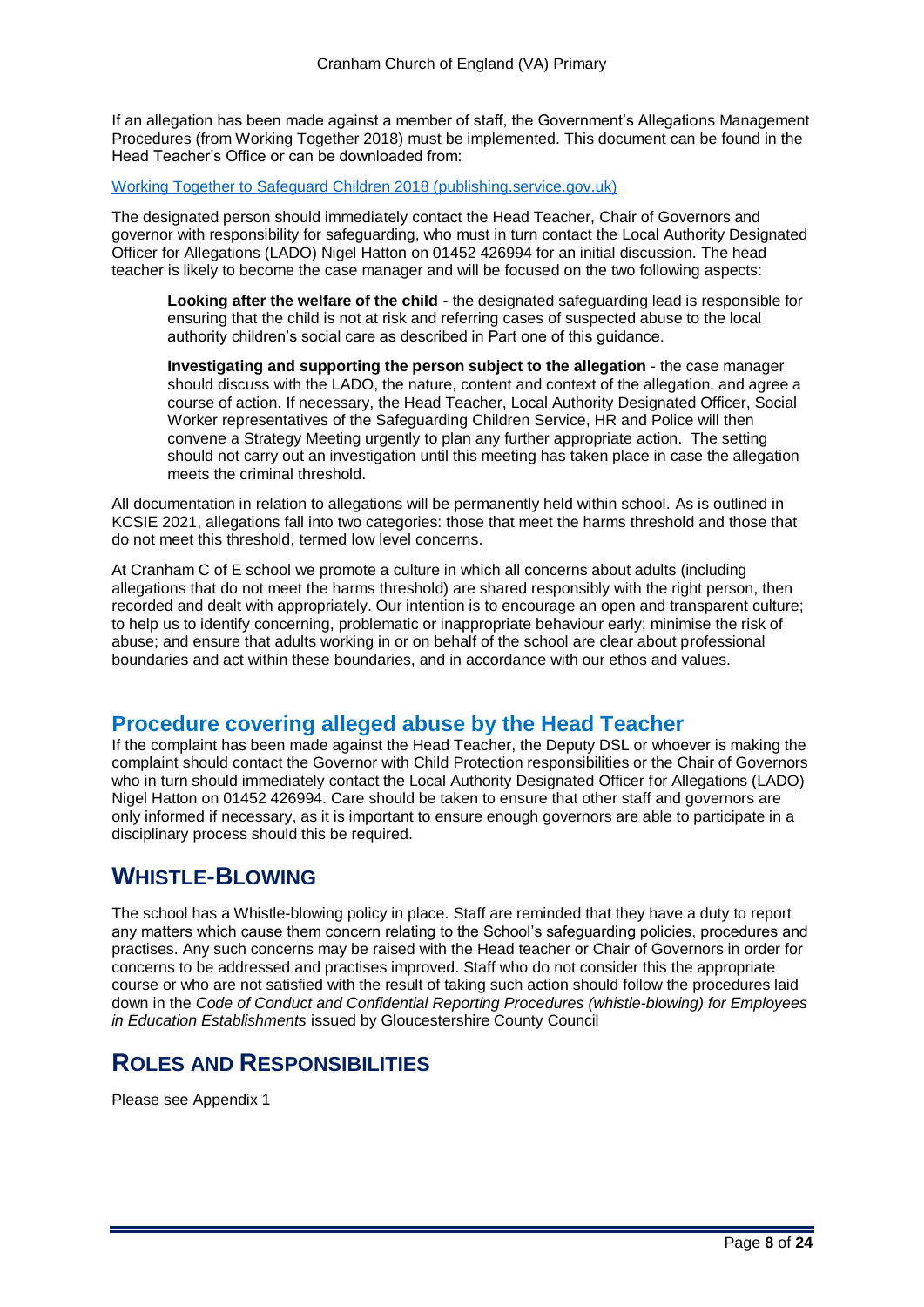If an allegation has been made against a member of staff, the Government's Allegations Management Procedures (from Working Together 2018) must be implemented. This document can be found in the Head Teacher's Office or can be downloaded from:

[Working Together to Safeguard Children 2018 \(publishing.service.gov.uk\)](https://assets.publishing.service.gov.uk/government/uploads/system/uploads/attachment_data/file/942454/Working_together_to_safeguard_children_inter_agency_guidance.pdf)

The designated person should immediately contact the Head Teacher, Chair of Governors and governor with responsibility for safeguarding, who must in turn contact the Local Authority Designated Officer for Allegations (LADO) Nigel Hatton on 01452 426994 for an initial discussion. The head teacher is likely to become the case manager and will be focused on the two following aspects:

**Looking after the welfare of the child** - the designated safeguarding lead is responsible for ensuring that the child is not at risk and referring cases of suspected abuse to the local authority children's social care as described in Part one of this guidance.

**Investigating and supporting the person subject to the allegation** - the case manager should discuss with the LADO, the nature, content and context of the allegation, and agree a course of action. If necessary, the Head Teacher, Local Authority Designated Officer, Social Worker representatives of the Safeguarding Children Service, HR and Police will then convene a Strategy Meeting urgently to plan any further appropriate action. The setting should not carry out an investigation until this meeting has taken place in case the allegation meets the criminal threshold.

All documentation in relation to allegations will be permanently held within school. As is outlined in KCSIE 2021, allegations fall into two categories: those that meet the harms threshold and those that do not meet this threshold, termed low level concerns.

At Cranham C of E school we promote a culture in which all concerns about adults (including allegations that do not meet the harms threshold) are shared responsibly with the right person, then recorded and dealt with appropriately. Our intention is to encourage an open and transparent culture; to help us to identify concerning, problematic or inappropriate behaviour early; minimise the risk of abuse; and ensure that adults working in or on behalf of the school are clear about professional boundaries and act within these boundaries, and in accordance with our ethos and values.

### <span id="page-7-0"></span>**Procedure covering alleged abuse by the Head Teacher**

If the complaint has been made against the Head Teacher, the Deputy DSL or whoever is making the complaint should contact the Governor with Child Protection responsibilities or the Chair of Governors who in turn should immediately contact the Local Authority Designated Officer for Allegations (LADO) Nigel Hatton on 01452 426994. Care should be taken to ensure that other staff and governors are only informed if necessary, as it is important to ensure enough governors are able to participate in a disciplinary process should this be required.

# <span id="page-7-1"></span>**WHISTLE-BLOWING**

The school has a Whistle-blowing policy in place. Staff are reminded that they have a duty to report any matters which cause them concern relating to the School's safeguarding policies, procedures and practises. Any such concerns may be raised with the Head teacher or Chair of Governors in order for concerns to be addressed and practises improved. Staff who do not consider this the appropriate course or who are not satisfied with the result of taking such action should follow the procedures laid down in the *Code of Conduct and Confidential Reporting Procedures (whistle-blowing) for Employees in Education Establishments* issued by Gloucestershire County Council

# <span id="page-7-2"></span>**ROLES AND RESPONSIBILITIES**

Please see Appendix 1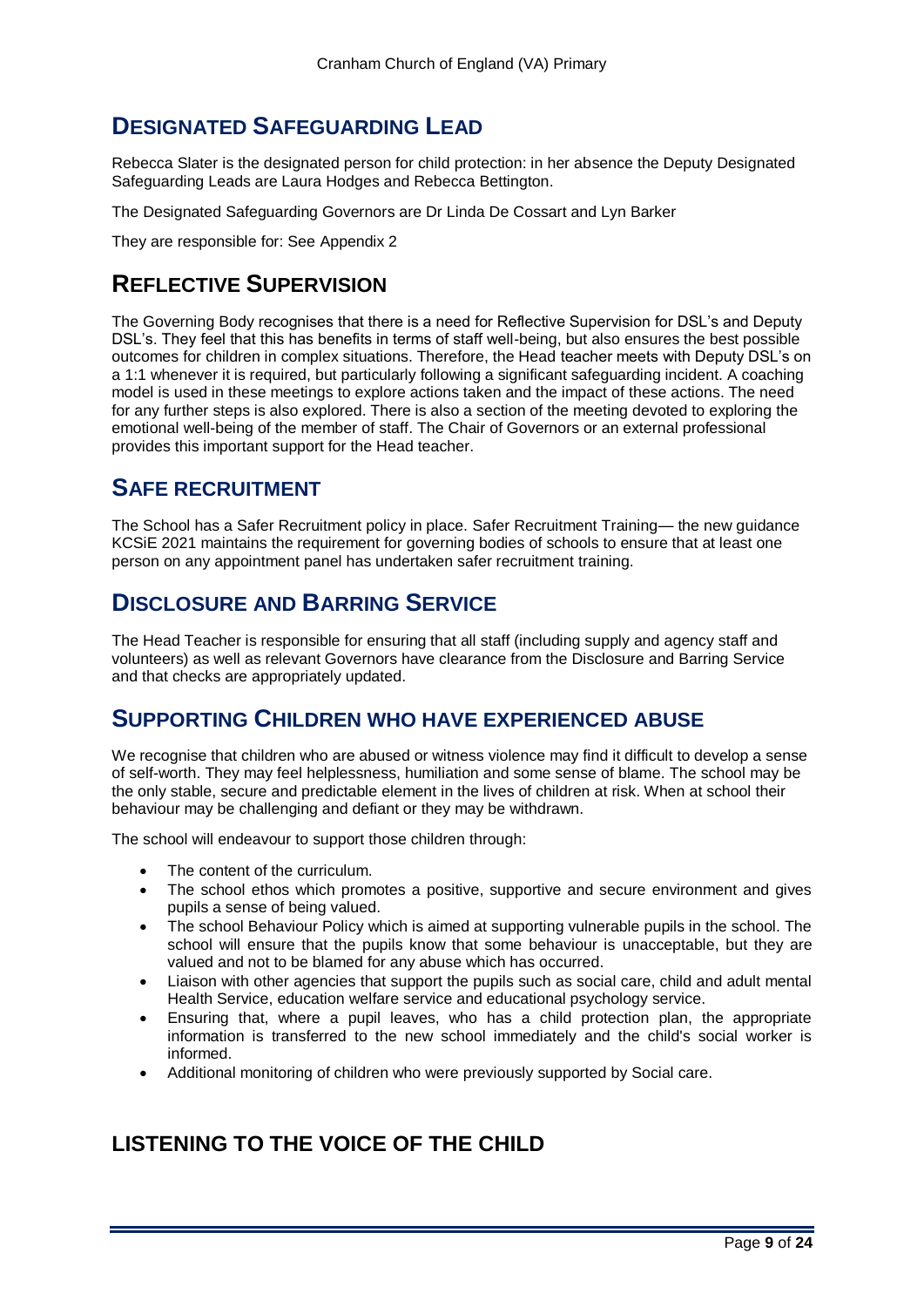# <span id="page-8-0"></span>**DESIGNATED SAFEGUARDING LEAD**

Rebecca Slater is the designated person for child protection: in her absence the Deputy Designated Safeguarding Leads are Laura Hodges and Rebecca Bettington.

The Designated Safeguarding Governors are Dr Linda De Cossart and Lyn Barker

They are responsible for: See Appendix 2

# **REFLECTIVE SUPERVISION**

The Governing Body recognises that there is a need for Reflective Supervision for DSL's and Deputy DSL's. They feel that this has benefits in terms of staff well-being, but also ensures the best possible outcomes for children in complex situations. Therefore, the Head teacher meets with Deputy DSL's on a 1:1 whenever it is required, but particularly following a significant safeguarding incident. A coaching model is used in these meetings to explore actions taken and the impact of these actions. The need for any further steps is also explored. There is also a section of the meeting devoted to exploring the emotional well-being of the member of staff. The Chair of Governors or an external professional provides this important support for the Head teacher.

# <span id="page-8-1"></span>**SAFE RECRUITMENT**

The School has a Safer Recruitment policy in place. Safer Recruitment Training— the new guidance KCSiE 2021 maintains the requirement for governing bodies of schools to ensure that at least one person on any appointment panel has undertaken safer recruitment training.

# <span id="page-8-2"></span>**DISCLOSURE AND BARRING SERVICE**

The Head Teacher is responsible for ensuring that all staff (including supply and agency staff and volunteers) as well as relevant Governors have clearance from the Disclosure and Barring Service and that checks are appropriately updated.

# <span id="page-8-3"></span>**SUPPORTING CHILDREN WHO HAVE EXPERIENCED ABUSE**

We recognise that children who are abused or witness violence may find it difficult to develop a sense of self-worth. They may feel helplessness, humiliation and some sense of blame. The school may be the only stable, secure and predictable element in the lives of children at risk. When at school their behaviour may be challenging and defiant or they may be withdrawn.

The school will endeavour to support those children through:

- The content of the curriculum.
- The school ethos which promotes a positive, supportive and secure environment and gives pupils a sense of being valued.
- The school Behaviour Policy which is aimed at supporting vulnerable pupils in the school. The school will ensure that the pupils know that some behaviour is unacceptable, but they are valued and not to be blamed for any abuse which has occurred.
- Liaison with other agencies that support the pupils such as social care, child and adult mental Health Service, education welfare service and educational psychology service.
- Ensuring that, where a pupil leaves, who has a child protection plan, the appropriate information is transferred to the new school immediately and the child's social worker is informed.
- Additional monitoring of children who were previously supported by Social care.

# **LISTENING TO THE VOICE OF THE CHILD**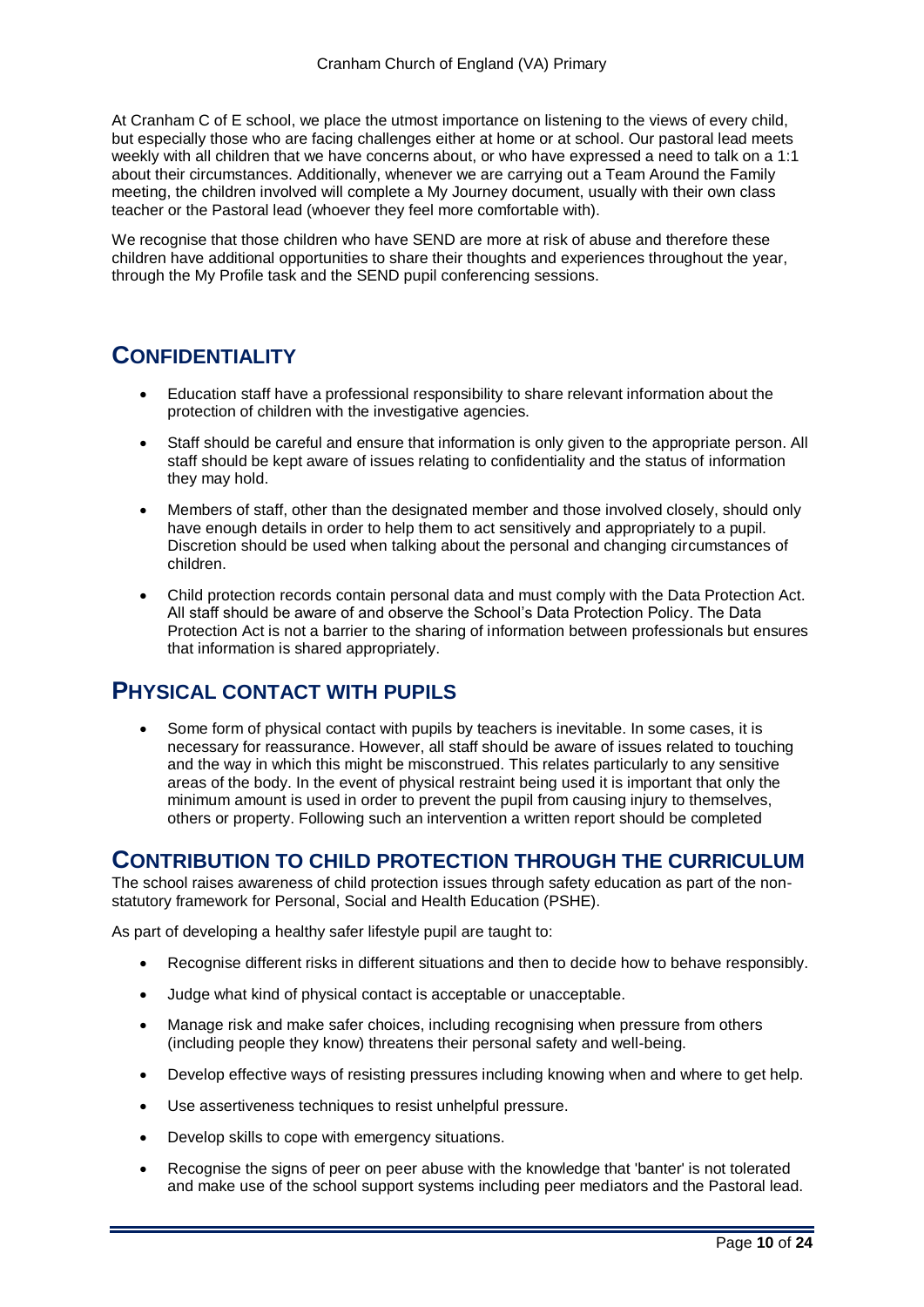At Cranham C of E school, we place the utmost importance on listening to the views of every child, but especially those who are facing challenges either at home or at school. Our pastoral lead meets weekly with all children that we have concerns about, or who have expressed a need to talk on a 1:1 about their circumstances. Additionally, whenever we are carrying out a Team Around the Family meeting, the children involved will complete a My Journey document, usually with their own class teacher or the Pastoral lead (whoever they feel more comfortable with).

We recognise that those children who have SEND are more at risk of abuse and therefore these children have additional opportunities to share their thoughts and experiences throughout the year, through the My Profile task and the SEND pupil conferencing sessions.

# <span id="page-9-0"></span>**CONFIDENTIALITY**

- Education staff have a professional responsibility to share relevant information about the protection of children with the investigative agencies.
- Staff should be careful and ensure that information is only given to the appropriate person. All staff should be kept aware of issues relating to confidentiality and the status of information they may hold.
- Members of staff, other than the designated member and those involved closely, should only have enough details in order to help them to act sensitively and appropriately to a pupil. Discretion should be used when talking about the personal and changing circumstances of children.
- Child protection records contain personal data and must comply with the Data Protection Act. All staff should be aware of and observe the School's Data Protection Policy. The Data Protection Act is not a barrier to the sharing of information between professionals but ensures that information is shared appropriately.

# <span id="page-9-1"></span>**PHYSICAL CONTACT WITH PUPILS**

 Some form of physical contact with pupils by teachers is inevitable. In some cases, it is necessary for reassurance. However, all staff should be aware of issues related to touching and the way in which this might be misconstrued. This relates particularly to any sensitive areas of the body. In the event of physical restraint being used it is important that only the minimum amount is used in order to prevent the pupil from causing injury to themselves, others or property. Following such an intervention a written report should be completed

# <span id="page-9-2"></span>**CONTRIBUTION TO CHILD PROTECTION THROUGH THE CURRICULUM**

The school raises awareness of child protection issues through safety education as part of the nonstatutory framework for Personal, Social and Health Education (PSHE).

As part of developing a healthy safer lifestyle pupil are taught to:

- Recognise different risks in different situations and then to decide how to behave responsibly.
- Judge what kind of physical contact is acceptable or unacceptable.
- Manage risk and make safer choices, including recognising when pressure from others (including people they know) threatens their personal safety and well-being.
- Develop effective ways of resisting pressures including knowing when and where to get help.
- Use assertiveness techniques to resist unhelpful pressure.
- Develop skills to cope with emergency situations.
- Recognise the signs of peer on peer abuse with the knowledge that 'banter' is not tolerated and make use of the school support systems including peer mediators and the Pastoral lead.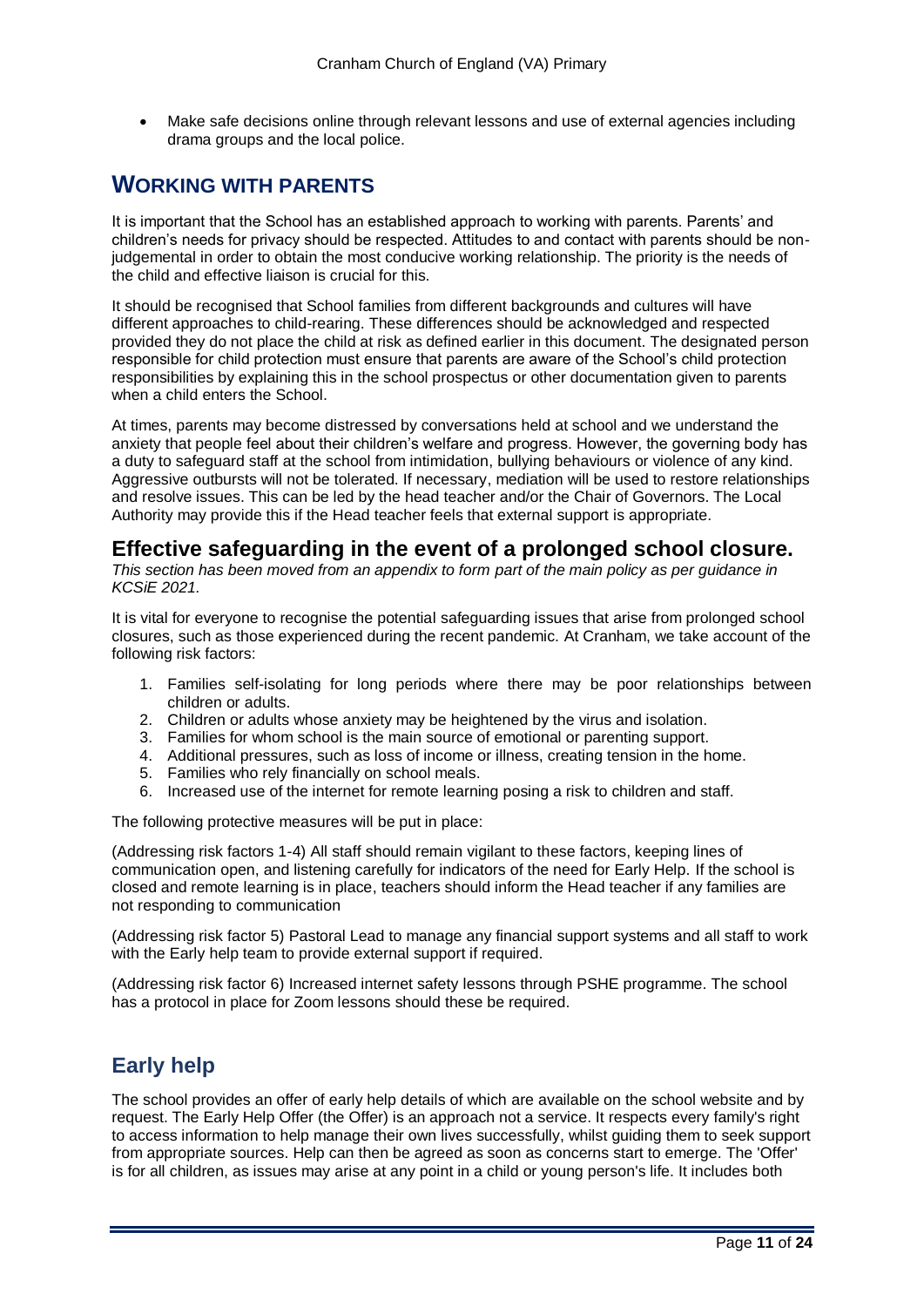Make safe decisions online through relevant lessons and use of external agencies including drama groups and the local police.

# <span id="page-10-0"></span>**WORKING WITH PARENTS**

It is important that the School has an established approach to working with parents. Parents' and children's needs for privacy should be respected. Attitudes to and contact with parents should be nonjudgemental in order to obtain the most conducive working relationship. The priority is the needs of the child and effective liaison is crucial for this.

It should be recognised that School families from different backgrounds and cultures will have different approaches to child-rearing. These differences should be acknowledged and respected provided they do not place the child at risk as defined earlier in this document. The designated person responsible for child protection must ensure that parents are aware of the School's child protection responsibilities by explaining this in the school prospectus or other documentation given to parents when a child enters the School.

At times, parents may become distressed by conversations held at school and we understand the anxiety that people feel about their children's welfare and progress. However, the governing body has a duty to safeguard staff at the school from intimidation, bullying behaviours or violence of any kind. Aggressive outbursts will not be tolerated. If necessary, mediation will be used to restore relationships and resolve issues. This can be led by the head teacher and/or the Chair of Governors. The Local Authority may provide this if the Head teacher feels that external support is appropriate.

### **Effective safeguarding in the event of a prolonged school closure.**

*This section has been moved from an appendix to form part of the main policy as per guidance in KCSiE 2021.*

It is vital for everyone to recognise the potential safeguarding issues that arise from prolonged school closures, such as those experienced during the recent pandemic. At Cranham, we take account of the following risk factors:

- 1. Families self-isolating for long periods where there may be poor relationships between children or adults.
- 2. Children or adults whose anxiety may be heightened by the virus and isolation.
- 3. Families for whom school is the main source of emotional or parenting support.
- 4. Additional pressures, such as loss of income or illness, creating tension in the home.
- 5. Families who rely financially on school meals.
- 6. Increased use of the internet for remote learning posing a risk to children and staff.

The following protective measures will be put in place:

(Addressing risk factors 1-4) All staff should remain vigilant to these factors, keeping lines of communication open, and listening carefully for indicators of the need for Early Help. If the school is closed and remote learning is in place, teachers should inform the Head teacher if any families are not responding to communication

(Addressing risk factor 5) Pastoral Lead to manage any financial support systems and all staff to work with the Early help team to provide external support if required.

(Addressing risk factor 6) Increased internet safety lessons through PSHE programme. The school has a protocol in place for Zoom lessons should these be required.

# **Early help**

The school provides an offer of early help details of which are available on the school website and by request. The Early Help Offer (the Offer) is an approach not a service. It respects every family's right to access information to help manage their own lives successfully, whilst guiding them to seek support from appropriate sources. Help can then be agreed as soon as concerns start to emerge. The 'Offer' is for all children, as issues may arise at any point in a child or young person's life. It includes both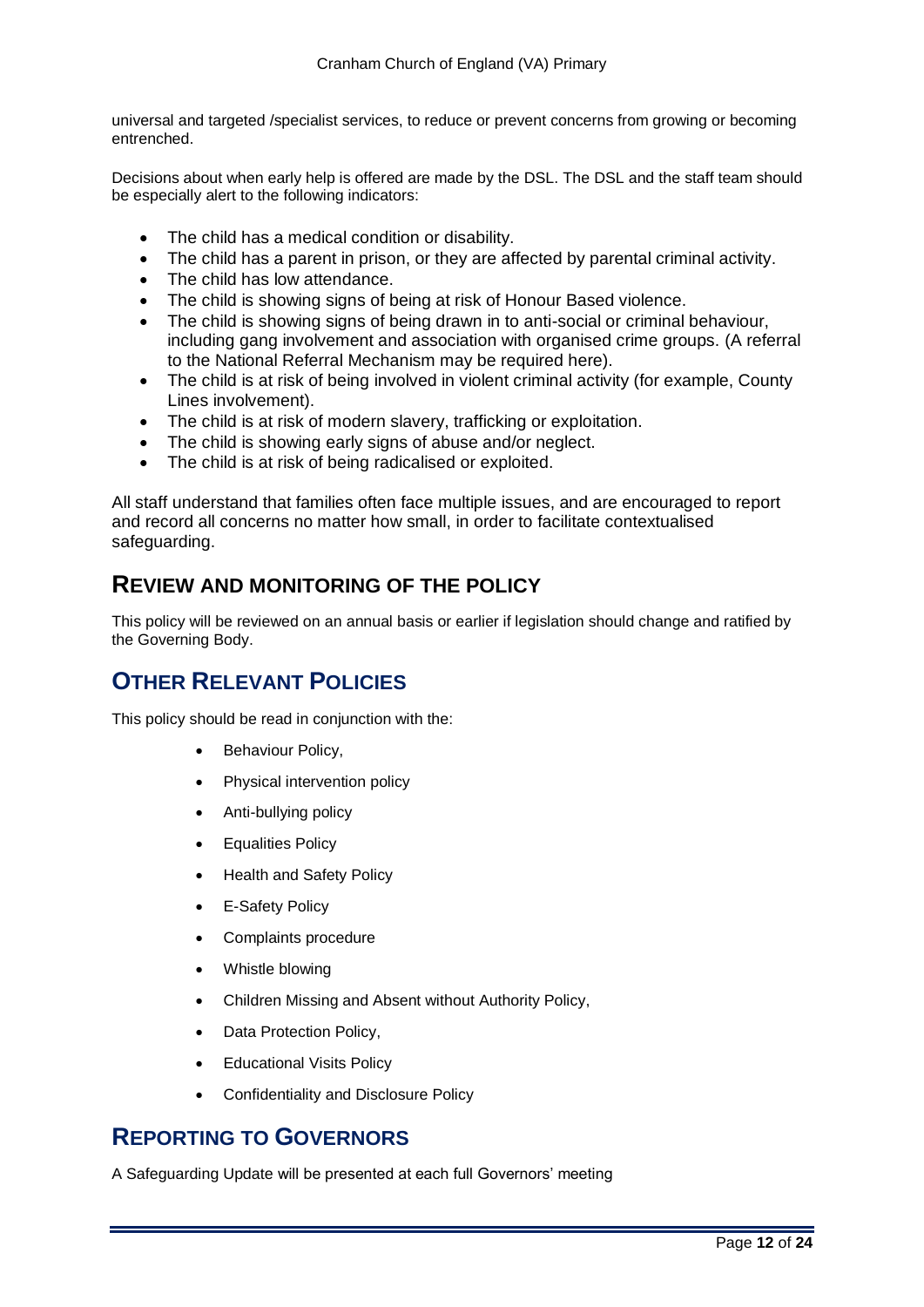universal and targeted /specialist services, to reduce or prevent concerns from growing or becoming entrenched.

Decisions about when early help is offered are made by the DSL. The DSL and the staff team should be especially alert to the following indicators:

- The child has a medical condition or disability.
- The child has a parent in prison, or they are affected by parental criminal activity.
- The child has low attendance.
- The child is showing signs of being at risk of Honour Based violence.
- The child is showing signs of being drawn in to anti-social or criminal behaviour, including gang involvement and association with organised crime groups. (A referral to the National Referral Mechanism may be required here).
- The child is at risk of being involved in violent criminal activity (for example, County Lines involvement).
- The child is at risk of modern slavery, trafficking or exploitation.
- The child is showing early signs of abuse and/or neglect.
- The child is at risk of being radicalised or exploited.

All staff understand that families often face multiple issues, and are encouraged to report and record all concerns no matter how small, in order to facilitate contextualised safeguarding.

# <span id="page-11-0"></span>**REVIEW AND MONITORING OF THE POLICY**

This policy will be reviewed on an annual basis or earlier if legislation should change and ratified by the Governing Body.

# <span id="page-11-1"></span>**OTHER RELEVANT POLICIES**

This policy should be read in conjunction with the:

- Behaviour Policy,
- Physical intervention policy
- Anti-bullying policy
- Equalities Policy
- Health and Safety Policy
- E-Safety Policy
- Complaints procedure
- Whistle blowing
- Children Missing and Absent without Authority Policy,
- Data Protection Policy,
- Educational Visits Policy
- Confidentiality and Disclosure Policy

# <span id="page-11-2"></span>**REPORTING TO GOVERNORS**

A Safeguarding Update will be presented at each full Governors' meeting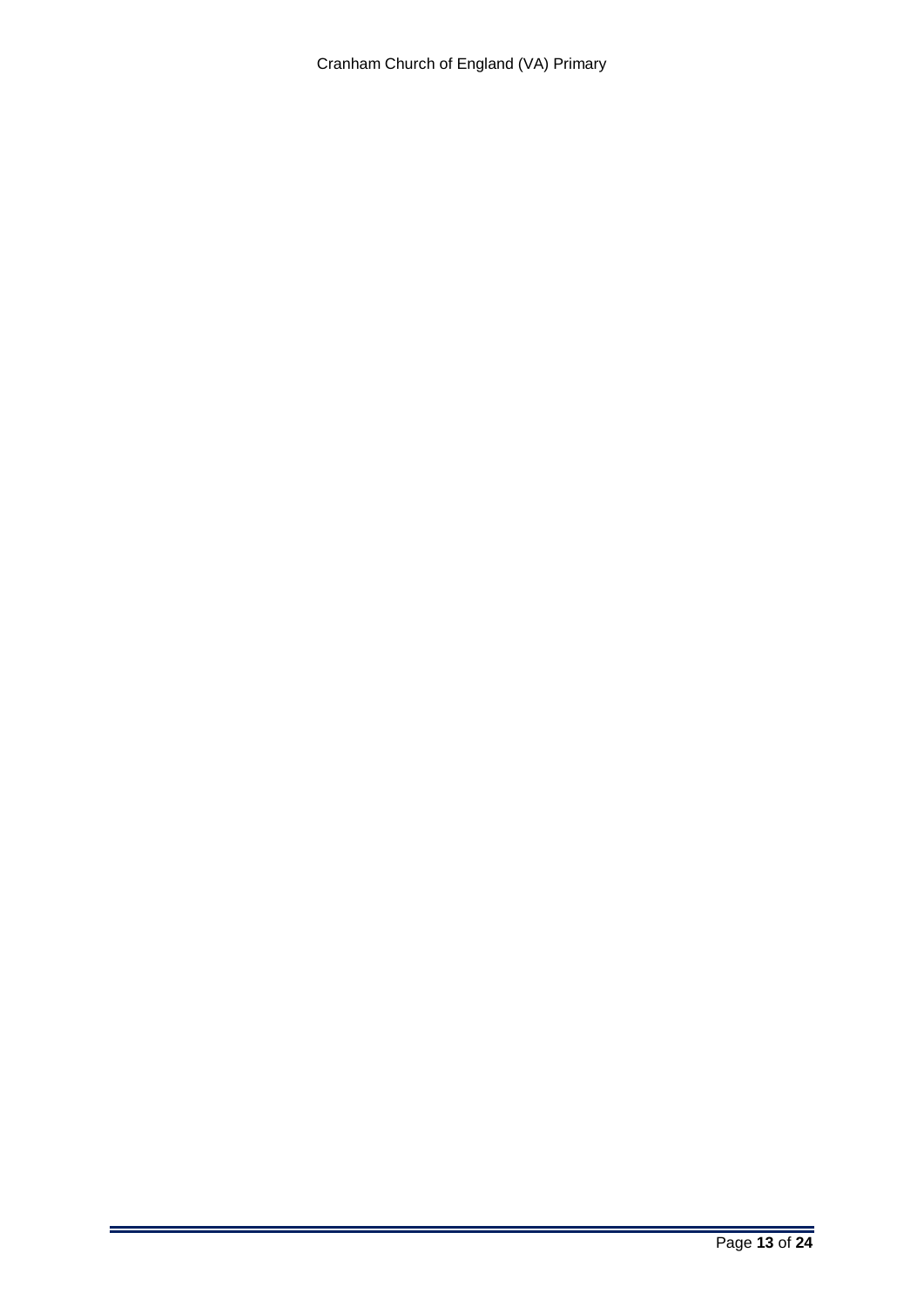Cranham Church of England (VA) Primary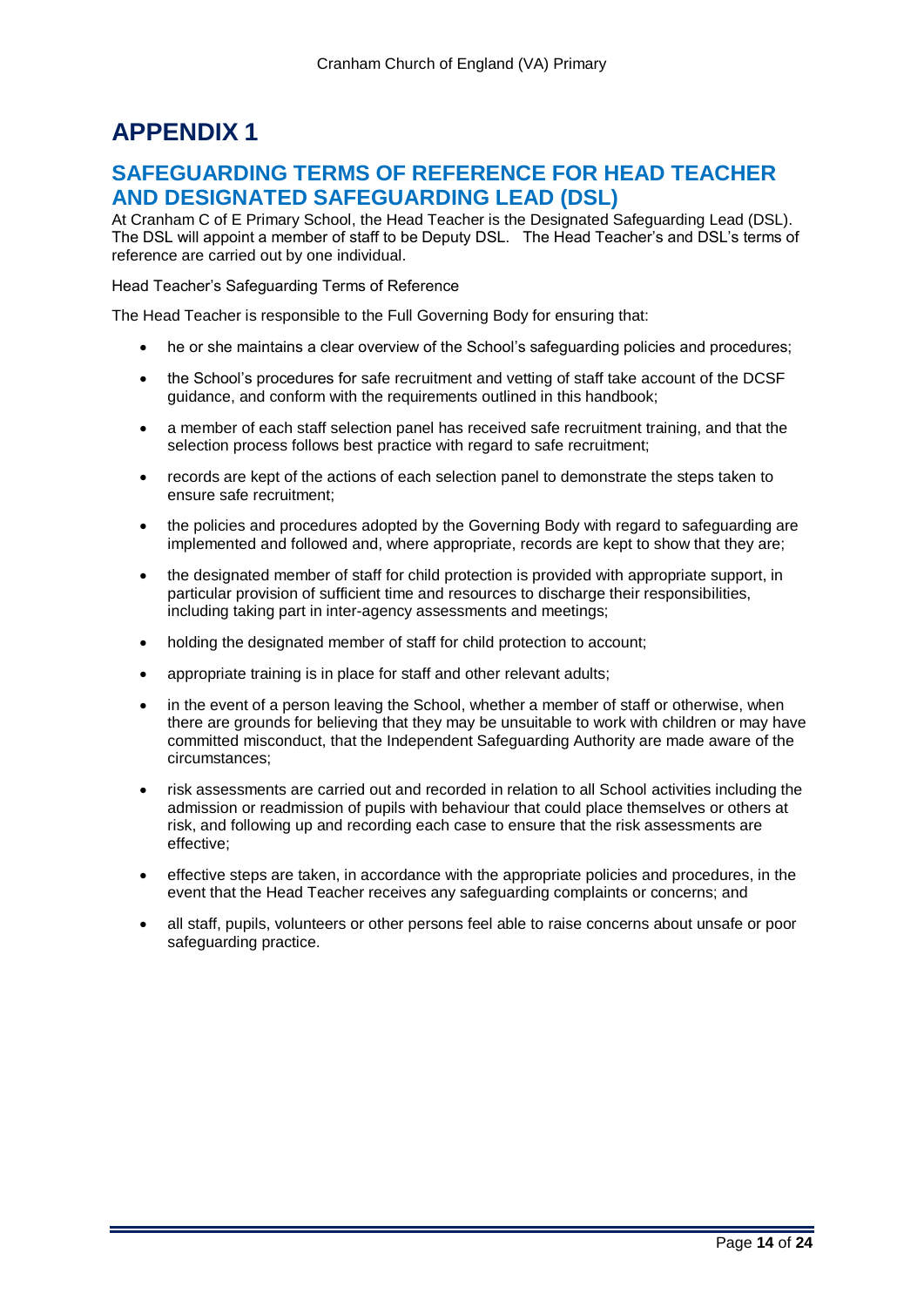# <span id="page-13-1"></span><span id="page-13-0"></span>**SAFEGUARDING TERMS OF REFERENCE FOR HEAD TEACHER AND DESIGNATED SAFEGUARDING LEAD (DSL)**

At Cranham C of E Primary School, the Head Teacher is the Designated Safeguarding Lead (DSL). The DSL will appoint a member of staff to be Deputy DSL. The Head Teacher's and DSL's terms of reference are carried out by one individual.

Head Teacher's Safeguarding Terms of Reference

The Head Teacher is responsible to the Full Governing Body for ensuring that:

- he or she maintains a clear overview of the School's safeguarding policies and procedures;
- the School's procedures for safe recruitment and vetting of staff take account of the DCSF guidance, and conform with the requirements outlined in this handbook;
- a member of each staff selection panel has received safe recruitment training, and that the selection process follows best practice with regard to safe recruitment;
- records are kept of the actions of each selection panel to demonstrate the steps taken to ensure safe recruitment;
- the policies and procedures adopted by the Governing Body with regard to safeguarding are implemented and followed and, where appropriate, records are kept to show that they are;
- the designated member of staff for child protection is provided with appropriate support, in particular provision of sufficient time and resources to discharge their responsibilities, including taking part in inter-agency assessments and meetings;
- holding the designated member of staff for child protection to account;
- appropriate training is in place for staff and other relevant adults;
- in the event of a person leaving the School, whether a member of staff or otherwise, when there are grounds for believing that they may be unsuitable to work with children or may have committed misconduct, that the Independent Safeguarding Authority are made aware of the circumstances;
- risk assessments are carried out and recorded in relation to all School activities including the admission or readmission of pupils with behaviour that could place themselves or others at risk, and following up and recording each case to ensure that the risk assessments are effective;
- effective steps are taken, in accordance with the appropriate policies and procedures, in the event that the Head Teacher receives any safeguarding complaints or concerns; and
- all staff, pupils, volunteers or other persons feel able to raise concerns about unsafe or poor safeguarding practice.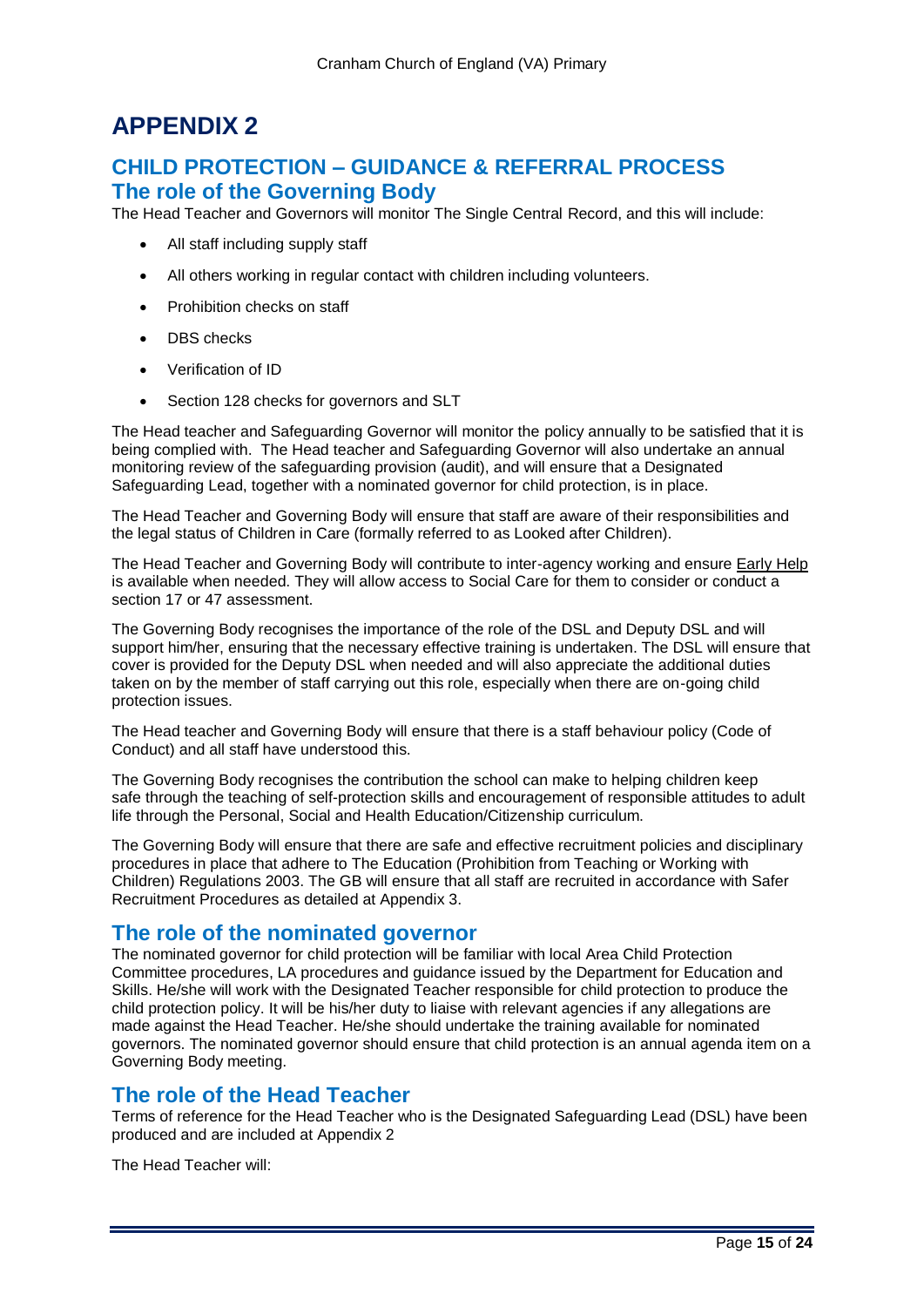### <span id="page-14-2"></span><span id="page-14-1"></span><span id="page-14-0"></span>**CHILD PROTECTION – GUIDANCE & REFERRAL PROCESS The role of the Governing Body**

The Head Teacher and Governors will monitor The Single Central Record, and this will include:

- All staff including supply staff
- All others working in regular contact with children including volunteers.
- Prohibition checks on staff
- DBS checks
- Verification of ID
- Section 128 checks for governors and SLT

The Head teacher and Safeguarding Governor will monitor the policy annually to be satisfied that it is being complied with. The Head teacher and Safeguarding Governor will also undertake an annual monitoring review of the safeguarding provision (audit), and will ensure that a Designated Safeguarding Lead, together with a nominated governor for child protection, is in place.

The Head Teacher and Governing Body will ensure that staff are aware of their responsibilities and the legal status of Children in Care (formally referred to as Looked after Children).

The Head Teacher and Governing Body will contribute to inter-agency working and ensure **Early Help** is available when needed. They will allow access to Social Care for them to consider or conduct a section 17 or 47 assessment.

The Governing Body recognises the importance of the role of the DSL and Deputy DSL and will support him/her, ensuring that the necessary effective training is undertaken. The DSL will ensure that cover is provided for the Deputy DSL when needed and will also appreciate the additional duties taken on by the member of staff carrying out this role, especially when there are on-going child protection issues.

The Head teacher and Governing Body will ensure that there is a staff behaviour policy (Code of Conduct) and all staff have understood this.

The Governing Body recognises the contribution the school can make to helping children keep safe through the teaching of self-protection skills and encouragement of responsible attitudes to adult life through the Personal, Social and Health Education/Citizenship curriculum.

The Governing Body will ensure that there are safe and effective recruitment policies and disciplinary procedures in place that adhere to The Education (Prohibition from Teaching or Working with Children) Regulations 2003. The GB will ensure that all staff are recruited in accordance with Safer Recruitment Procedures as detailed at Appendix 3.

### <span id="page-14-3"></span>**The role of the nominated governor**

The nominated governor for child protection will be familiar with local Area Child Protection Committee procedures, LA procedures and guidance issued by the Department for Education and Skills. He/she will work with the Designated Teacher responsible for child protection to produce the child protection policy. It will be his/her duty to liaise with relevant agencies if any allegations are made against the Head Teacher. He/she should undertake the training available for nominated governors. The nominated governor should ensure that child protection is an annual agenda item on a Governing Body meeting.

### <span id="page-14-4"></span>**The role of the Head Teacher**

Terms of reference for the Head Teacher who is the Designated Safeguarding Lead (DSL) have been produced and are included at Appendix 2

The Head Teacher will: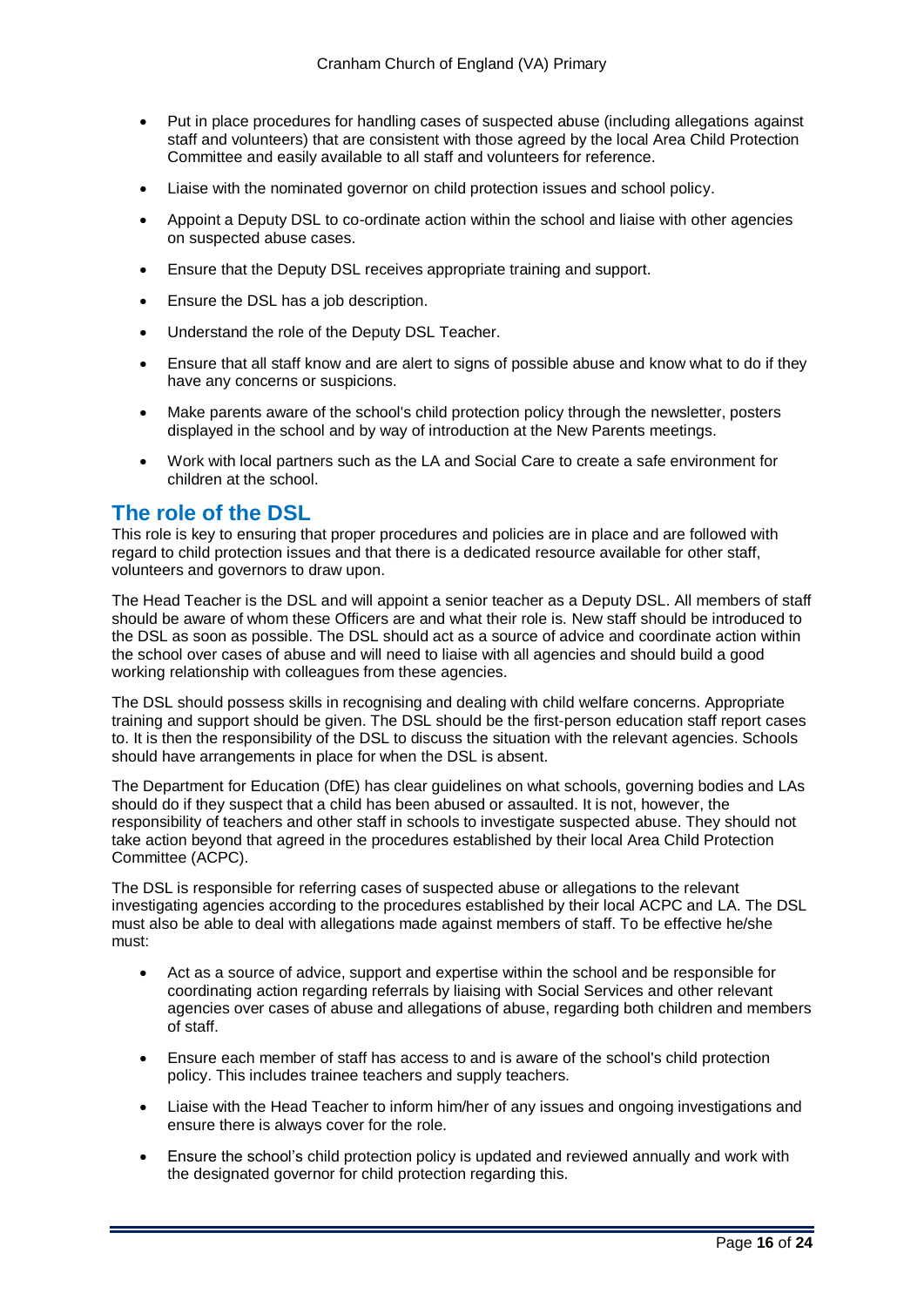- Put in place procedures for handling cases of suspected abuse (including allegations against staff and volunteers) that are consistent with those agreed by the local Area Child Protection Committee and easily available to all staff and volunteers for reference.
- Liaise with the nominated governor on child protection issues and school policy.
- Appoint a Deputy DSL to co-ordinate action within the school and liaise with other agencies on suspected abuse cases.
- Ensure that the Deputy DSL receives appropriate training and support.
- Ensure the DSL has a job description.
- Understand the role of the Deputy DSL Teacher.
- Ensure that all staff know and are alert to signs of possible abuse and know what to do if they have any concerns or suspicions.
- Make parents aware of the school's child protection policy through the newsletter, posters displayed in the school and by way of introduction at the New Parents meetings.
- Work with local partners such as the LA and Social Care to create a safe environment for children at the school.

### <span id="page-15-0"></span>**The role of the DSL**

This role is key to ensuring that proper procedures and policies are in place and are followed with regard to child protection issues and that there is a dedicated resource available for other staff, volunteers and governors to draw upon.

The Head Teacher is the DSL and will appoint a senior teacher as a Deputy DSL. All members of staff should be aware of whom these Officers are and what their role is. New staff should be introduced to the DSL as soon as possible. The DSL should act as a source of advice and coordinate action within the school over cases of abuse and will need to liaise with all agencies and should build a good working relationship with colleagues from these agencies.

The DSL should possess skills in recognising and dealing with child welfare concerns. Appropriate training and support should be given. The DSL should be the first-person education staff report cases to. It is then the responsibility of the DSL to discuss the situation with the relevant agencies. Schools should have arrangements in place for when the DSL is absent.

The Department for Education (DfE) has clear guidelines on what schools, governing bodies and LAs should do if they suspect that a child has been abused or assaulted. It is not, however, the responsibility of teachers and other staff in schools to investigate suspected abuse. They should not take action beyond that agreed in the procedures established by their local Area Child Protection Committee (ACPC).

The DSL is responsible for referring cases of suspected abuse or allegations to the relevant investigating agencies according to the procedures established by their local ACPC and LA. The DSL must also be able to deal with allegations made against members of staff. To be effective he/she must:

- Act as a source of advice, support and expertise within the school and be responsible for coordinating action regarding referrals by liaising with Social Services and other relevant agencies over cases of abuse and allegations of abuse, regarding both children and members of staff.
- Ensure each member of staff has access to and is aware of the school's child protection policy. This includes trainee teachers and supply teachers.
- Liaise with the Head Teacher to inform him/her of any issues and ongoing investigations and ensure there is always cover for the role.
- Ensure the school's child protection policy is updated and reviewed annually and work with the designated governor for child protection regarding this.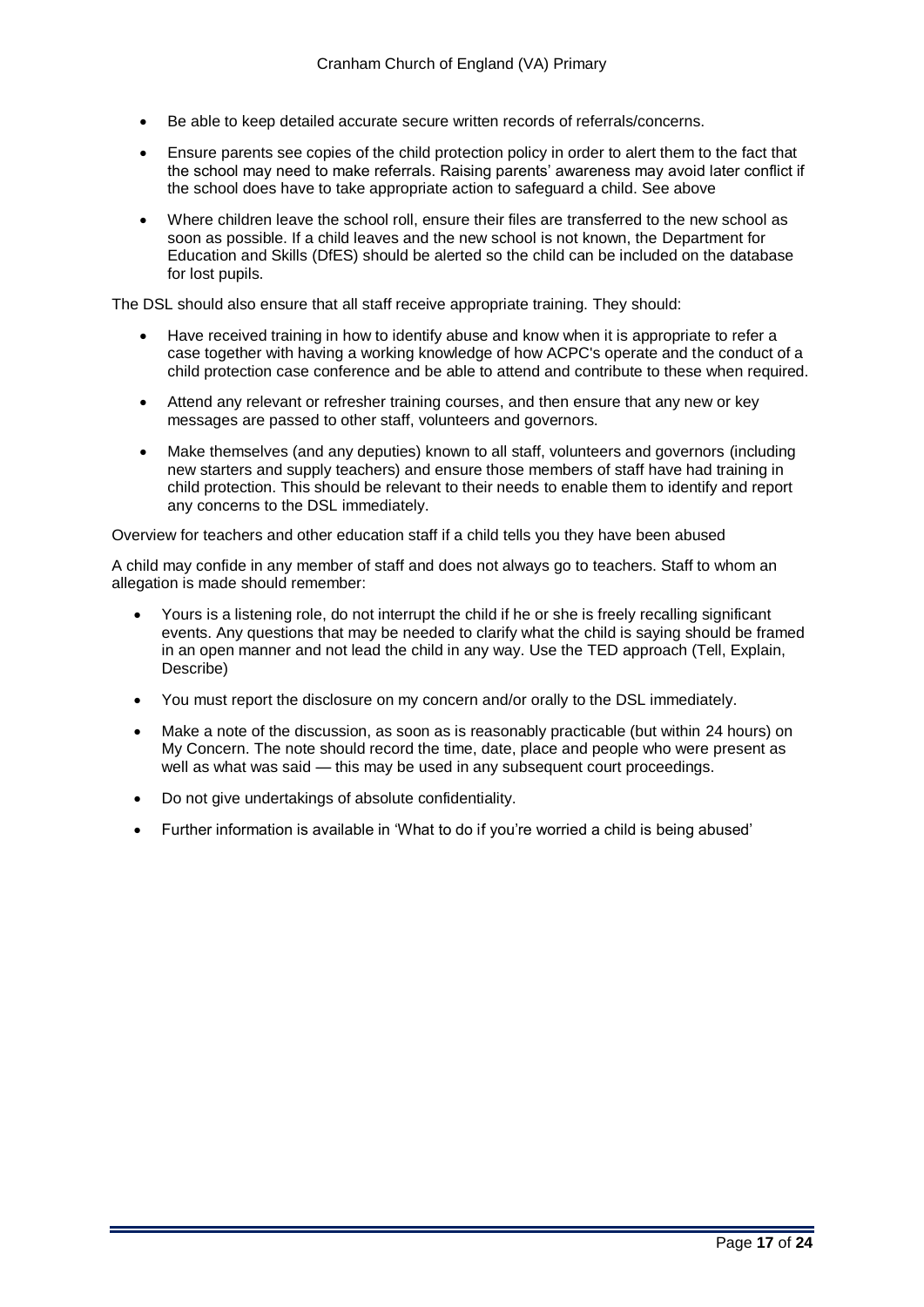- Be able to keep detailed accurate secure written records of referrals/concerns.
- Ensure parents see copies of the child protection policy in order to alert them to the fact that the school may need to make referrals. Raising parents' awareness may avoid later conflict if the school does have to take appropriate action to safeguard a child. See above
- Where children leave the school roll, ensure their files are transferred to the new school as soon as possible. If a child leaves and the new school is not known, the Department for Education and Skills (DfES) should be alerted so the child can be included on the database for lost pupils.

The DSL should also ensure that all staff receive appropriate training. They should:

- Have received training in how to identify abuse and know when it is appropriate to refer a case together with having a working knowledge of how ACPC's operate and the conduct of a child protection case conference and be able to attend and contribute to these when required.
- Attend any relevant or refresher training courses, and then ensure that any new or key messages are passed to other staff, volunteers and governors.
- Make themselves (and any deputies) known to all staff, volunteers and governors (including new starters and supply teachers) and ensure those members of staff have had training in child protection. This should be relevant to their needs to enable them to identify and report any concerns to the DSL immediately.

Overview for teachers and other education staff if a child tells you they have been abused

A child may confide in any member of staff and does not always go to teachers. Staff to whom an allegation is made should remember:

- Yours is a listening role, do not interrupt the child if he or she is freely recalling significant events. Any questions that may be needed to clarify what the child is saying should be framed in an open manner and not lead the child in any way. Use the TED approach (Tell, Explain, Describe)
- You must report the disclosure on my concern and/or orally to the DSL immediately.
- Make a note of the discussion, as soon as is reasonably practicable (but within 24 hours) on My Concern. The note should record the time, date, place and people who were present as well as what was said — this may be used in any subsequent court proceedings.
- Do not give undertakings of absolute confidentiality.
- Further information is available in 'What to do if you're worried a child is being abused'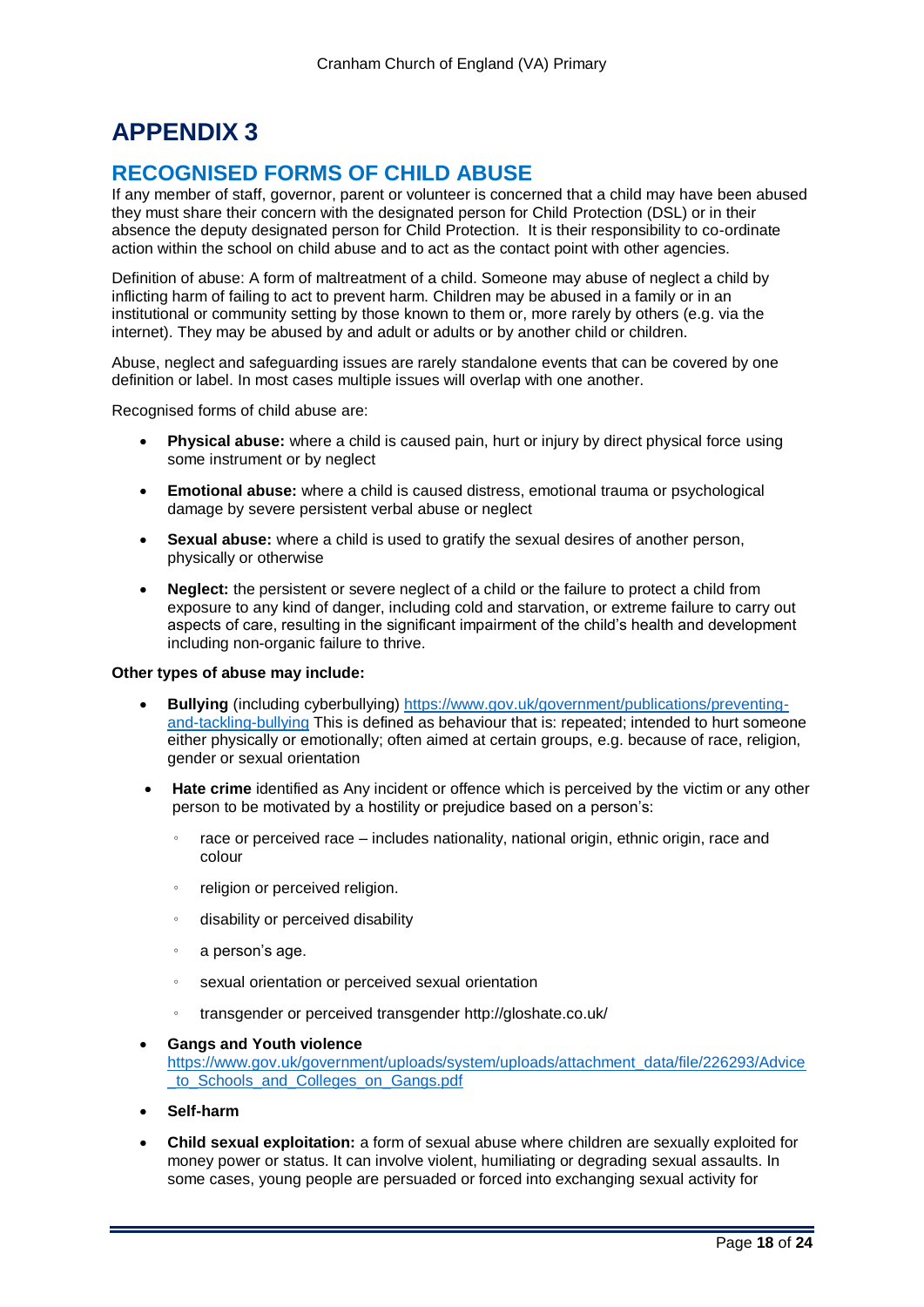# <span id="page-17-1"></span><span id="page-17-0"></span>**RECOGNISED FORMS OF CHILD ABUSE**

If any member of staff, governor, parent or volunteer is concerned that a child may have been abused they must share their concern with the designated person for Child Protection (DSL) or in their absence the deputy designated person for Child Protection. It is their responsibility to co-ordinate action within the school on child abuse and to act as the contact point with other agencies.

Definition of abuse: A form of maltreatment of a child. Someone may abuse of neglect a child by inflicting harm of failing to act to prevent harm. Children may be abused in a family or in an institutional or community setting by those known to them or, more rarely by others (e.g. via the internet). They may be abused by and adult or adults or by another child or children.

Abuse, neglect and safeguarding issues are rarely standalone events that can be covered by one definition or label. In most cases multiple issues will overlap with one another.

Recognised forms of child abuse are:

- **Physical abuse:** where a child is caused pain, hurt or injury by direct physical force using some instrument or by neglect
- **Emotional abuse:** where a child is caused distress, emotional trauma or psychological damage by severe persistent verbal abuse or neglect
- **Sexual abuse:** where a child is used to gratify the sexual desires of another person, physically or otherwise
- **Neglect:** the persistent or severe neglect of a child or the failure to protect a child from exposure to any kind of danger, including cold and starvation, or extreme failure to carry out aspects of care, resulting in the significant impairment of the child's health and development including non-organic failure to thrive.

#### **Other types of abuse may include:**

- **Bullying** (including cyberbullying) [https://www.gov.uk/government/publications/preventing](https://www.gov.uk/government/publications/preventing-and-tackling-bullying)[and-tackling-bullying](https://www.gov.uk/government/publications/preventing-and-tackling-bullying) This is defined as behaviour that is: repeated; intended to hurt someone either physically or emotionally; often aimed at certain groups, e.g. because of race, religion, gender or sexual orientation
- **Hate crime** identified as Any incident or offence which is perceived by the victim or any other person to be motivated by a hostility or prejudice based on a person's:
	- race or perceived race includes nationality, national origin, ethnic origin, race and colour
	- religion or perceived religion.
	- disability or perceived disability
	- a person's age.
	- sexual orientation or perceived sexual orientation
	- transgender or perceived transgender http://gloshate.co.uk/

#### **Gangs and Youth violence**

[https://www.gov.uk/government/uploads/system/uploads/attachment\\_data/file/226293/Advice](https://www.gov.uk/government/uploads/system/uploads/attachment_data/file/226293/Advice_to_Schools_and_Colleges_on_Gangs.pdf) [\\_to\\_Schools\\_and\\_Colleges\\_on\\_Gangs.pdf](https://www.gov.uk/government/uploads/system/uploads/attachment_data/file/226293/Advice_to_Schools_and_Colleges_on_Gangs.pdf)

- **Self-harm**
- **Child sexual exploitation:** a form of sexual abuse where children are sexually exploited for money power or status. It can involve violent, humiliating or degrading sexual assaults. In some cases, young people are persuaded or forced into exchanging sexual activity for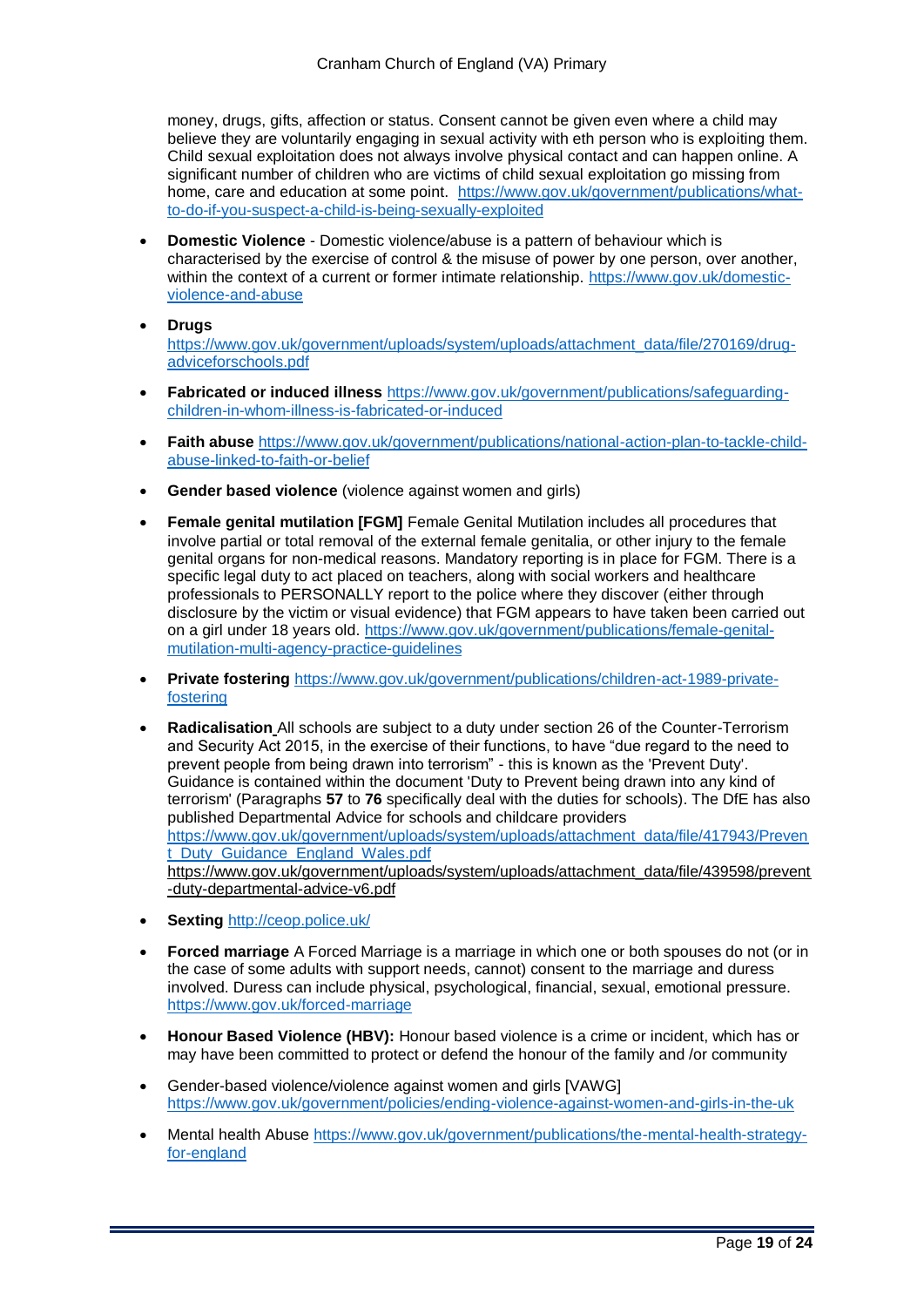money, drugs, gifts, affection or status. Consent cannot be given even where a child may believe they are voluntarily engaging in sexual activity with eth person who is exploiting them. Child sexual exploitation does not always involve physical contact and can happen online. A significant number of children who are victims of child sexual exploitation go missing from home, care and education at some point. [https://www.gov.uk/government/publications/what](https://www.gov.uk/government/publications/what-to-do-if-you-suspect-a-child-is-being-sexually-exploited)[to-do-if-you-suspect-a-child-is-being-sexually-exploited](https://www.gov.uk/government/publications/what-to-do-if-you-suspect-a-child-is-being-sexually-exploited)

- **Domestic Violence** Domestic violence/abuse is a pattern of behaviour which is characterised by the exercise of control & the misuse of power by one person, over another, within the context of a current or former intimate relationship. [https://www.gov.uk/domestic](https://www.gov.uk/domestic-violence-and-abuse)[violence-and-abuse](https://www.gov.uk/domestic-violence-and-abuse)
- **Drugs** [https://www.gov.uk/government/uploads/system/uploads/attachment\\_data/file/270169/drug](https://www.gov.uk/government/uploads/system/uploads/attachment_data/file/270169/drug-adviceforschools.pdf)[adviceforschools.pdf](https://www.gov.uk/government/uploads/system/uploads/attachment_data/file/270169/drug-adviceforschools.pdf)
- **Fabricated or induced illness** [https://www.gov.uk/government/publications/safeguarding](https://www.gov.uk/government/publications/safeguarding-children-in-whom-illness-is-fabricated-or-induced)[children-in-whom-illness-is-fabricated-or-induced](https://www.gov.uk/government/publications/safeguarding-children-in-whom-illness-is-fabricated-or-induced)
- **Faith abuse** [https://www.gov.uk/government/publications/national-action-plan-to-tackle-child](https://www.gov.uk/government/publications/national-action-plan-to-tackle-child-abuse-linked-to-faith-or-belief)[abuse-linked-to-faith-or-belief](https://www.gov.uk/government/publications/national-action-plan-to-tackle-child-abuse-linked-to-faith-or-belief)
- **Gender based violence** (violence against women and girls)
- **Female genital mutilation [FGM]** Female Genital Mutilation includes all procedures that involve partial or total removal of the external female genitalia, or other injury to the female genital organs for non-medical reasons. Mandatory reporting is in place for FGM. There is a specific legal duty to act placed on teachers, along with social workers and healthcare professionals to PERSONALLY report to the police where they discover (either through disclosure by the victim or visual evidence) that FGM appears to have taken been carried out on a girl under 18 years old[. https://www.gov.uk/government/publications/female-genital](https://www.gov.uk/government/publications/female-genital-mutilation-multi-agency-practice-guidelines)[mutilation-multi-agency-practice-guidelines](https://www.gov.uk/government/publications/female-genital-mutilation-multi-agency-practice-guidelines)
- **Private fostering** [https://www.gov.uk/government/publications/children-act-1989-private](https://www.gov.uk/government/publications/children-act-1989-private-fostering)[fostering](https://www.gov.uk/government/publications/children-act-1989-private-fostering)
- **Radicalisation** All schools are subject to a duty under section 26 of the Counter-Terrorism and Security Act 2015, in the exercise of their functions, to have "due regard to the need to prevent people from being drawn into terrorism" - this is known as the 'Prevent Duty'. Guidance is contained within the document 'Duty to Prevent being drawn into any kind of terrorism' (Paragraphs **57** to **76** specifically deal with the duties for schools). The DfE has also published Departmental Advice for schools and childcare providers [https://www.gov.uk/government/uploads/system/uploads/attachment\\_data/file/417943/Preven](https://www.gov.uk/government/uploads/system/uploads/attachment_data/file/417943/Prevent_Duty_Guidance_England_Wales.pdf) [t\\_Duty\\_Guidance\\_England\\_Wales.pdf](https://www.gov.uk/government/uploads/system/uploads/attachment_data/file/417943/Prevent_Duty_Guidance_England_Wales.pdf) https://www.gov.uk/government/uploads/system/uploads/attachment\_data/file/439598/prevent -duty-departmental-advice-v6.pdf
- **Sexting** <http://ceop.police.uk/>
- **Forced marriage** A Forced Marriage is a marriage in which one or both spouses do not (or in the case of some adults with support needs, cannot) consent to the marriage and duress involved. Duress can include physical, psychological, financial, sexual, emotional pressure. <https://www.gov.uk/forced-marriage>
- **Honour Based Violence (HBV):** Honour based violence is a crime or incident, which has or may have been committed to protect or defend the honour of the family and /or community
- Gender-based violence/violence against women and girls [VAWG] <https://www.gov.uk/government/policies/ending-violence-against-women-and-girls-in-the-uk>
- Mental health Abuse [https://www.gov.uk/government/publications/the-mental-health-strategy](https://www.gov.uk/government/publications/the-mental-health-strategy-for-england)[for-england](https://www.gov.uk/government/publications/the-mental-health-strategy-for-england)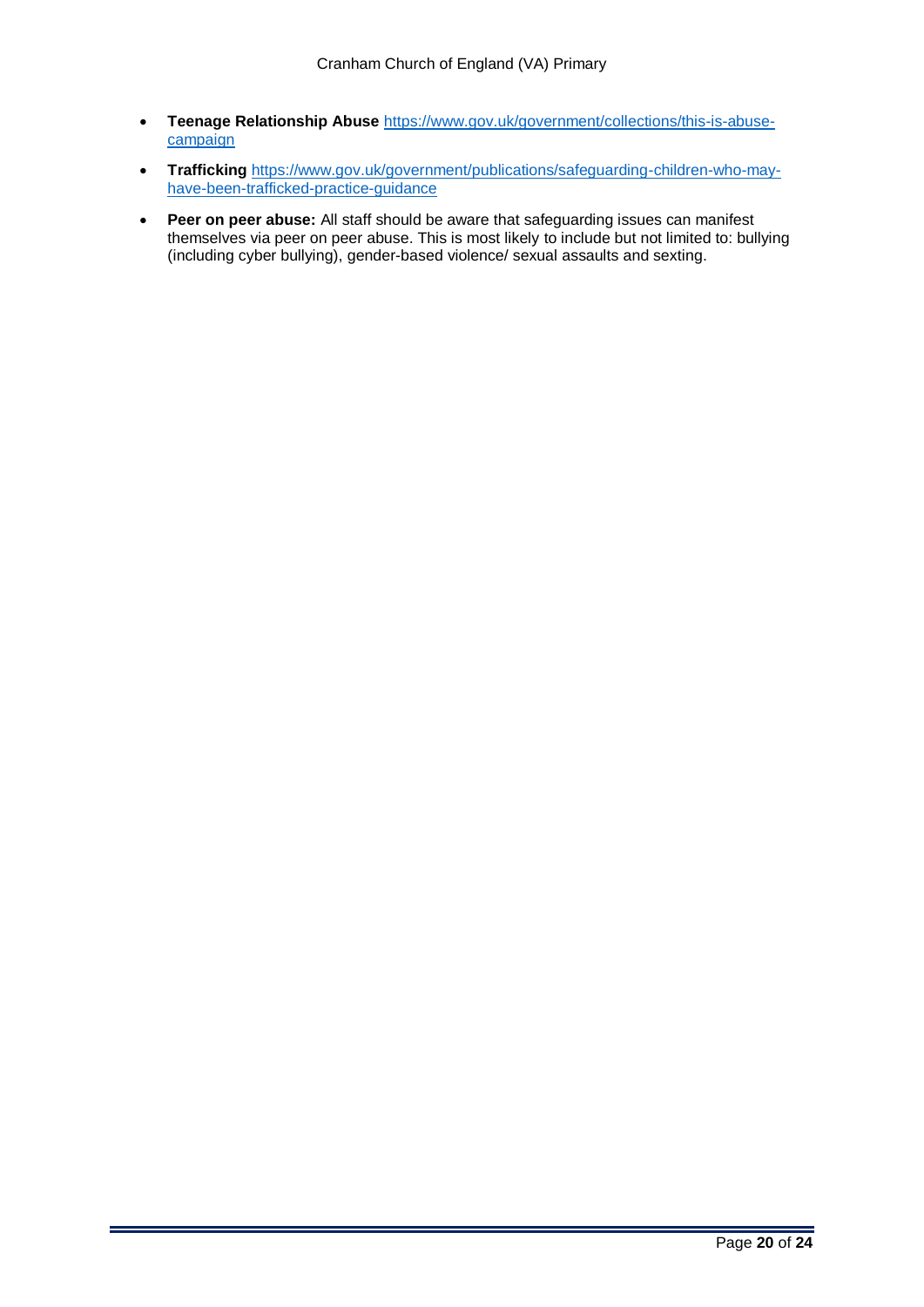- **Teenage Relationship Abuse** [https://www.gov.uk/government/collections/this-is-abuse](https://www.gov.uk/government/collections/this-is-abuse-campaign)[campaign](https://www.gov.uk/government/collections/this-is-abuse-campaign)
- **Trafficking** [https://www.gov.uk/government/publications/safeguarding-children-who-may](https://www.gov.uk/government/publications/safeguarding-children-who-may-have-been-trafficked-practice-guidance)[have-been-trafficked-practice-guidance](https://www.gov.uk/government/publications/safeguarding-children-who-may-have-been-trafficked-practice-guidance)
- **Peer on peer abuse:** All staff should be aware that safeguarding issues can manifest themselves via peer on peer abuse. This is most likely to include but not limited to: bullying (including cyber bullying), gender-based violence/ sexual assaults and sexting.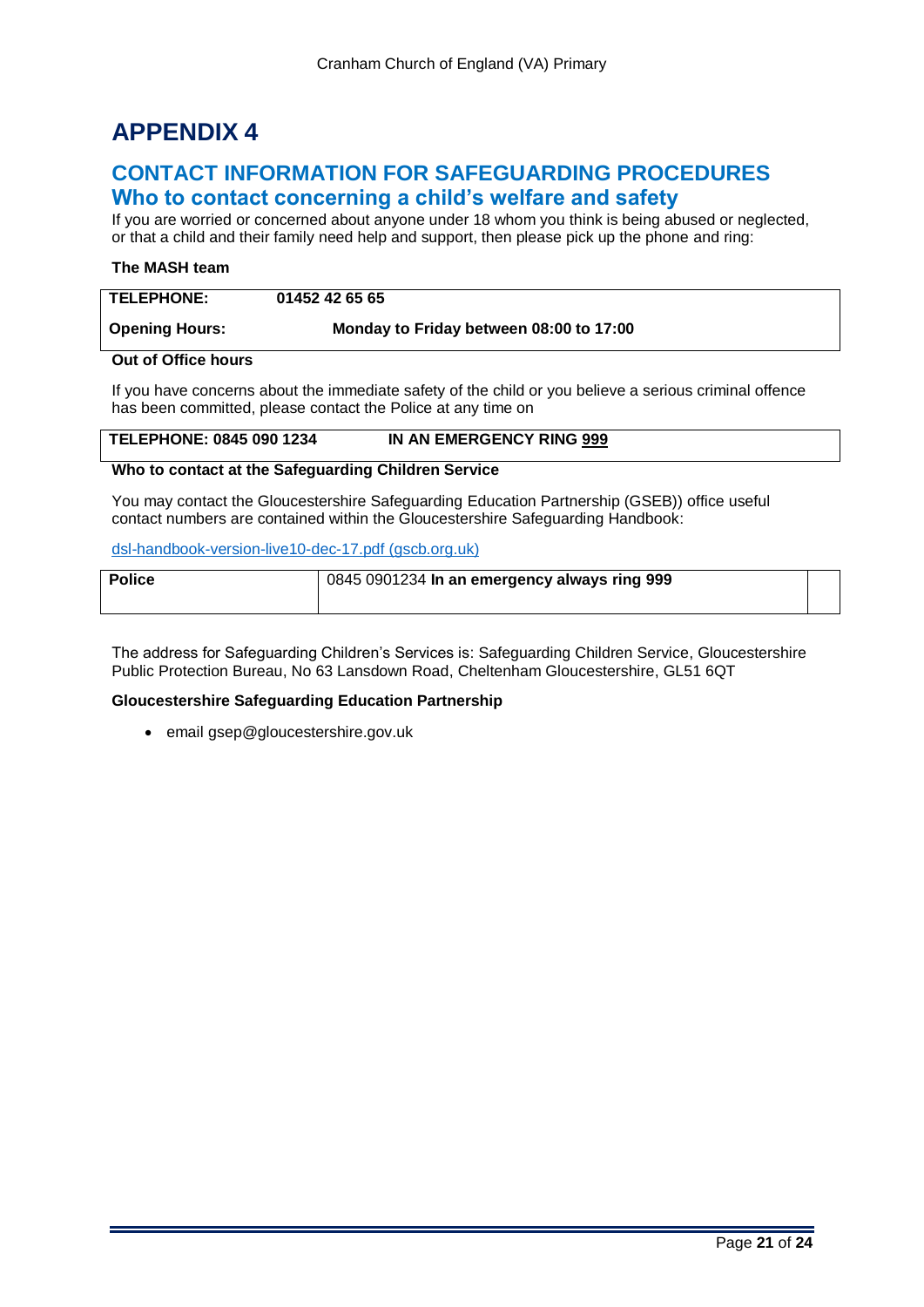# <span id="page-20-1"></span><span id="page-20-0"></span>**CONTACT INFORMATION FOR SAFEGUARDING PROCEDURES Who to contact concerning a child's welfare and safety**

<span id="page-20-2"></span>If you are worried or concerned about anyone under 18 whom you think is being abused or neglected, or that a child and their family need help and support, then please pick up the phone and ring:

#### **The MASH team**

| TELEPHONE:            | 01452 42 65 65                          |
|-----------------------|-----------------------------------------|
| <b>Opening Hours:</b> | Monday to Friday between 08:00 to 17:00 |

#### **Out of Office hours**

If you have concerns about the immediate safety of the child or you believe a serious criminal offence has been committed, please contact the Police at any time on

| TELEPHONE: 0845 090 1234 | IN AN EMERGENCY RING 999 |
|--------------------------|--------------------------|

#### **Who to contact at the Safeguarding Children Service**

You may contact the Gloucestershire Safeguarding Education Partnership (GSEB)) office useful contact numbers are contained within the Gloucestershire Safeguarding Handbook:

[dsl-handbook-version-live10-dec-17.pdf \(gscb.org.uk\)](https://www.gscb.org.uk/media/19429/dsl-handbook-version-live10-dec-17.pdf)

| <b>Police</b><br>0845 0901234 In an emergency always ring 999 |  |
|---------------------------------------------------------------|--|
|                                                               |  |

The address for Safeguarding Children's Services is: Safeguarding Children Service, Gloucestershire Public Protection Bureau, No 63 Lansdown Road, Cheltenham Gloucestershire, GL51 6QT

#### **Gloucestershire Safeguarding Education Partnership**

email gsep@gloucestershire.gov.uk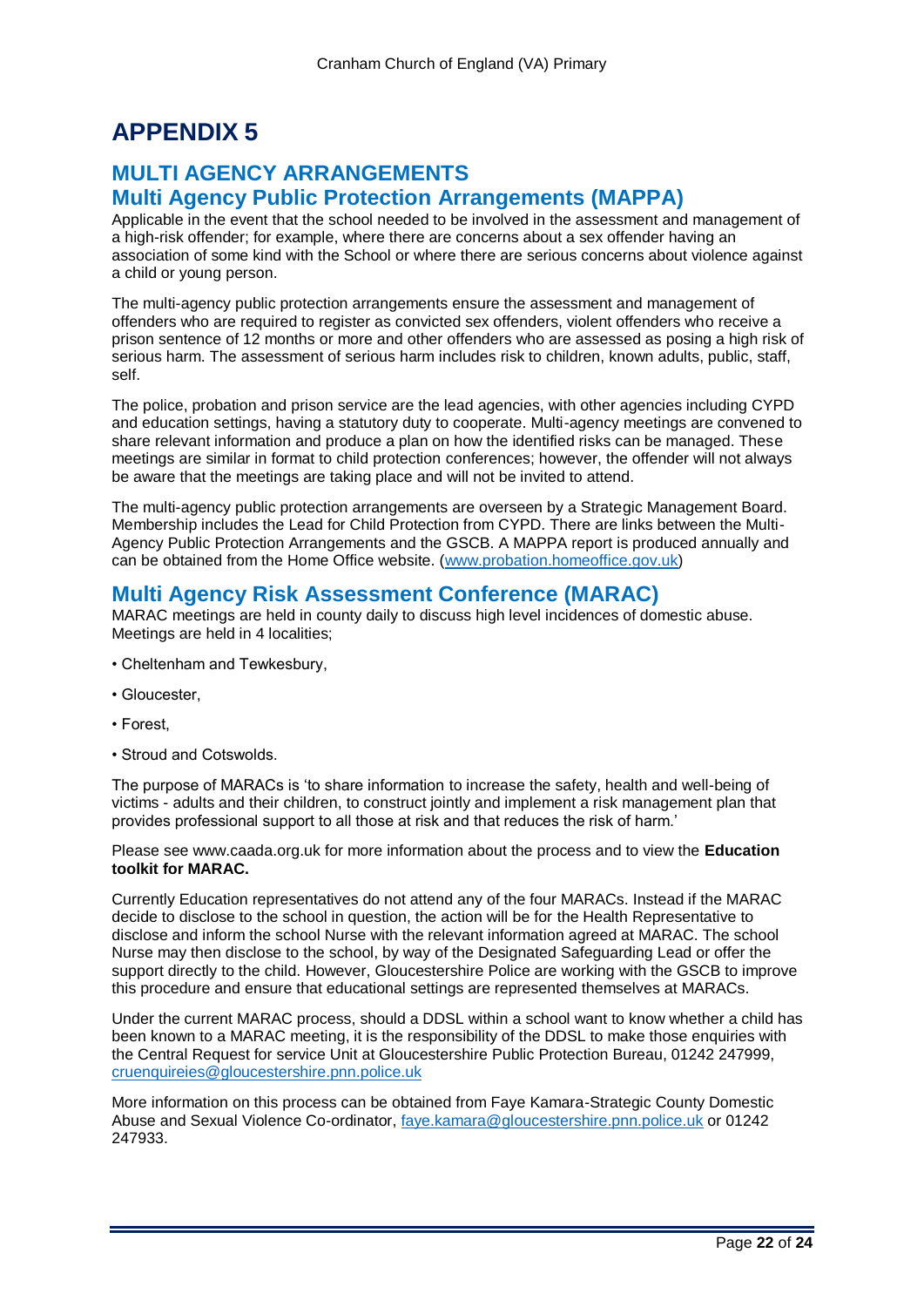# <span id="page-21-1"></span><span id="page-21-0"></span>**MULTI AGENCY ARRANGEMENTS**

### <span id="page-21-2"></span>**Multi Agency Public Protection Arrangements (MAPPA)**

Applicable in the event that the school needed to be involved in the assessment and management of a high-risk offender; for example, where there are concerns about a sex offender having an association of some kind with the School or where there are serious concerns about violence against a child or young person.

The multi-agency public protection arrangements ensure the assessment and management of offenders who are required to register as convicted sex offenders, violent offenders who receive a prison sentence of 12 months or more and other offenders who are assessed as posing a high risk of serious harm. The assessment of serious harm includes risk to children, known adults, public, staff, self.

The police, probation and prison service are the lead agencies, with other agencies including CYPD and education settings, having a statutory duty to cooperate. Multi-agency meetings are convened to share relevant information and produce a plan on how the identified risks can be managed. These meetings are similar in format to child protection conferences; however, the offender will not always be aware that the meetings are taking place and will not be invited to attend.

The multi-agency public protection arrangements are overseen by a Strategic Management Board. Membership includes the Lead for Child Protection from CYPD. There are links between the Multi-Agency Public Protection Arrangements and the GSCB. A MAPPA report is produced annually and can be obtained from the Home Office website. [\(www.probation.homeoffice.gov.uk\)](http://www.probation.homeoffice.gov.uk/)

### <span id="page-21-3"></span>**Multi Agency Risk Assessment Conference (MARAC)**

MARAC meetings are held in county daily to discuss high level incidences of domestic abuse. Meetings are held in 4 localities;

- Cheltenham and Tewkesbury,
- Gloucester,
- Forest,
- Stroud and Cotswolds.

The purpose of MARACs is 'to share information to increase the safety, health and well-being of victims - adults and their children, to construct jointly and implement a risk management plan that provides professional support to all those at risk and that reduces the risk of harm.'

Please see www.caada.org.uk for more information about the process and to view the **Education toolkit for MARAC.**

Currently Education representatives do not attend any of the four MARACs. Instead if the MARAC decide to disclose to the school in question, the action will be for the Health Representative to disclose and inform the school Nurse with the relevant information agreed at MARAC. The school Nurse may then disclose to the school, by way of the Designated Safeguarding Lead or offer the support directly to the child. However, Gloucestershire Police are working with the GSCB to improve this procedure and ensure that educational settings are represented themselves at MARACs.

Under the current MARAC process, should a DDSL within a school want to know whether a child has been known to a MARAC meeting, it is the responsibility of the DDSL to make those enquiries with the Central Request for service Unit at Gloucestershire Public Protection Bureau, 01242 247999, [cruenquireies@gloucestershire.pnn.police.uk](mailto:cruenquireies@gloucestershire.pnn.police.uk)

More information on this process can be obtained from Faye Kamara-Strategic County Domestic Abuse and Sexual Violence Co-ordinator, [faye.kamara@gloucestershire.pnn.police.uk](mailto:faye.kamara@gloucestershire.pnn.police.uk) or 01242 247933.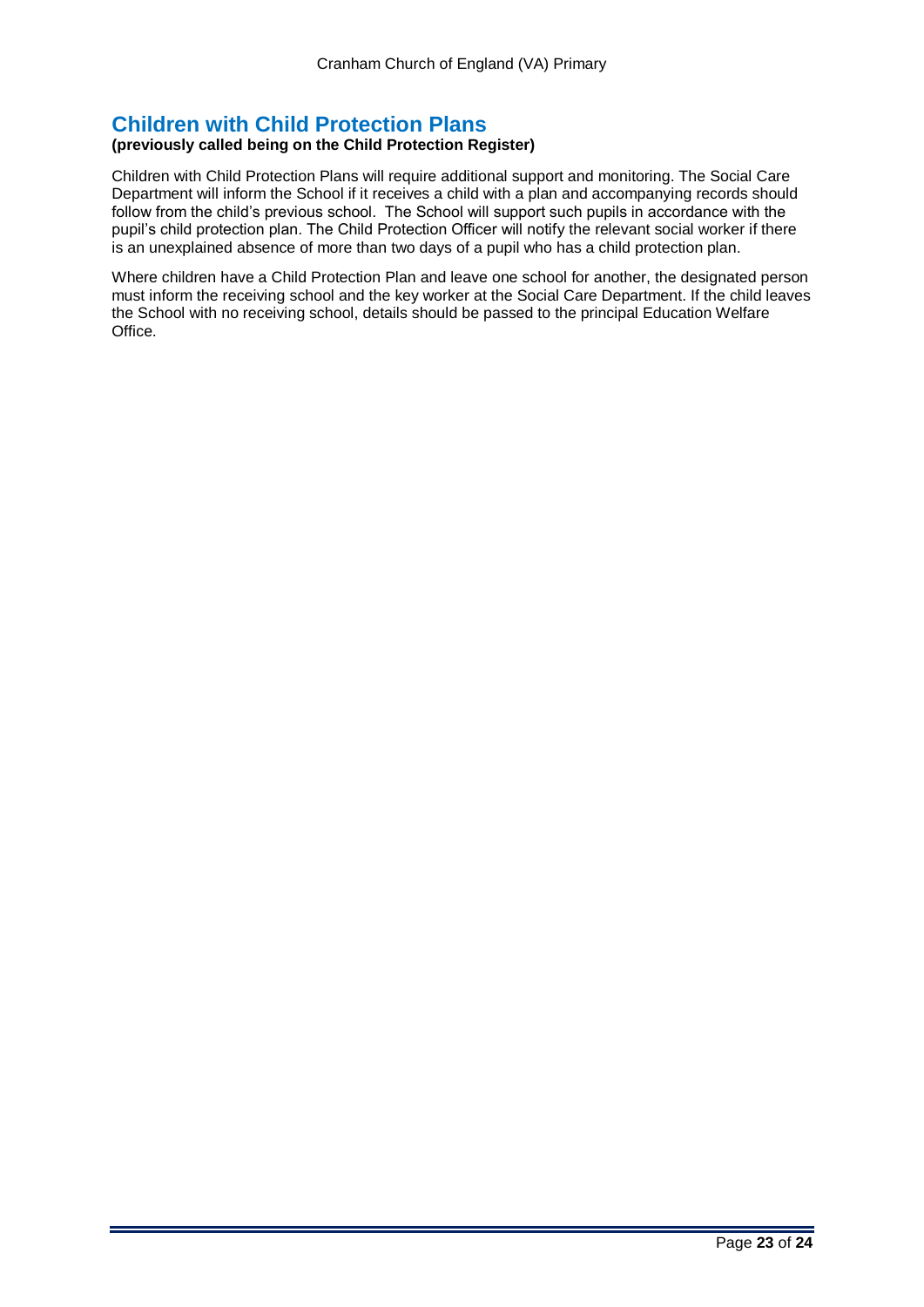# <span id="page-22-0"></span>**Children with Child Protection Plans**

#### **(previously called being on the Child Protection Register)**

Children with Child Protection Plans will require additional support and monitoring. The Social Care Department will inform the School if it receives a child with a plan and accompanying records should follow from the child's previous school. The School will support such pupils in accordance with the pupil's child protection plan. The Child Protection Officer will notify the relevant social worker if there is an unexplained absence of more than two days of a pupil who has a child protection plan.

Where children have a Child Protection Plan and leave one school for another, the designated person must inform the receiving school and the key worker at the Social Care Department. If the child leaves the School with no receiving school, details should be passed to the principal Education Welfare Office.